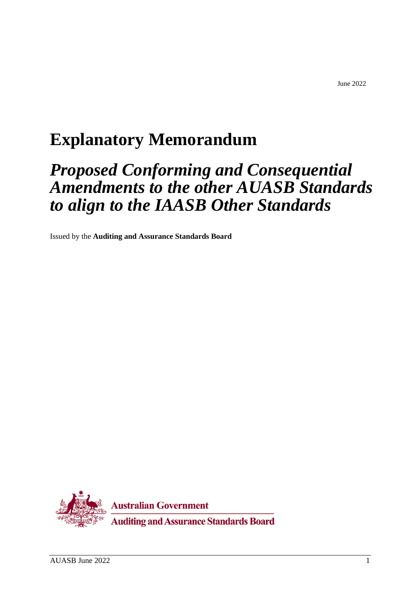# **Explanatory Memorandum**

# *Proposed Conforming and Consequential Amendments to the other AUASB Standards to align to the IAASB Other Standards*

Issued by the **Auditing and Assurance Standards Board**

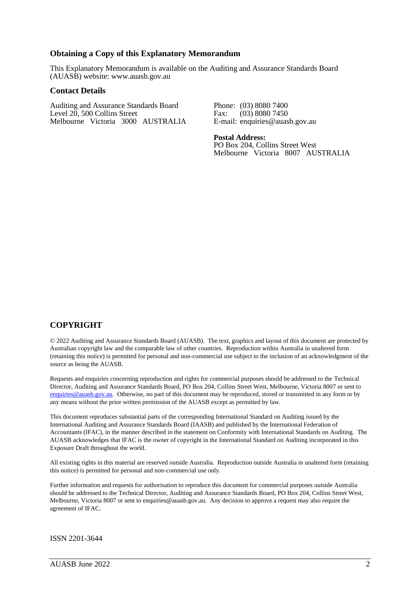#### **Obtaining a Copy of this Explanatory Memorandum**

This Explanatory Memorandum is available on the Auditing and Assurance Standards Board (AUASB) website: www.auasb.gov.au

#### **Contact Details**

Auditing and Assurance Standards Board Level 20, 500 Collins Street Melbourne Victoria 3000 AUSTRALIA Phone: (03) 8080 7400<br>Fax: (03) 8080 7450 (03) 8080 7450 E-mail: enquiries@auasb.gov.au

**Postal Address:** PO Box 204, Collins Street West Melbourne Victoria 8007 AUSTRALIA

**COPYRIGHT**

© 2022 Auditing and Assurance Standards Board (AUASB). The text, graphics and layout of this document are protected by Australian copyright law and the comparable law of other countries. Reproduction within Australia in unaltered form (retaining this notice) is permitted for personal and non-commercial use subject to the inclusion of an acknowledgment of the source as being the AUASB.

Requests and enquiries concerning reproduction and rights for commercial purposes should be addressed to the Technical Director, Auditing and Assurance Standards Board, PO Box 204, Collins Street West, Melbourne, Victoria 8007 or sent to [enquiries@auasb.gov.au.](mailto:enquiries@auasb.gov.au) Otherwise, no part of this document may be reproduced, stored or transmitted in any form or by any means without the prior written permission of the AUASB except as permitted by law.

This document reproduces substantial parts of the corresponding International Standard on Auditing issued by the International Auditing and Assurance Standards Board (IAASB) and published by the International Federation of Accountants (IFAC), in the manner described in the statement on Conformity with International Standards on Auditing. The AUASB acknowledges that IFAC is the owner of copyright in the International Standard on Auditing incorporated in this Exposure Draft throughout the world.

All existing rights in this material are reserved outside Australia. Reproduction outside Australia in unaltered form (retaining this notice) is permitted for personal and non-commercial use only.

Further information and requests for authorisation to reproduce this document for commercial purposes outside Australia should be addressed to the Technical Director, Auditing and Assurance Standards Board, PO Box 204, Collins Street West, Melbourne, Victoria 8007 or sent to enquiries@auasb.gov.au. Any decision to approve a request may also require the agreement of IFAC.

ISSN 2201-3644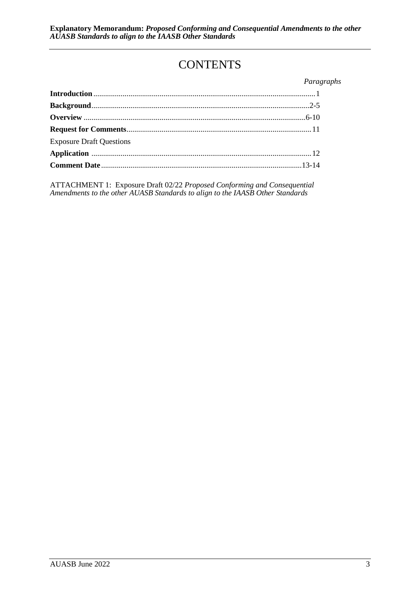## **CONTENTS**

|                                 | Paragraphs |
|---------------------------------|------------|
|                                 |            |
|                                 |            |
|                                 |            |
|                                 |            |
| <b>Exposure Draft Questions</b> |            |
|                                 |            |
|                                 |            |
|                                 |            |

ATTACHMENT 1: Exposure Draft 02/22 *Proposed Conforming and Consequential Amendments to the other AUASB Standards to align to the IAASB Other Standards*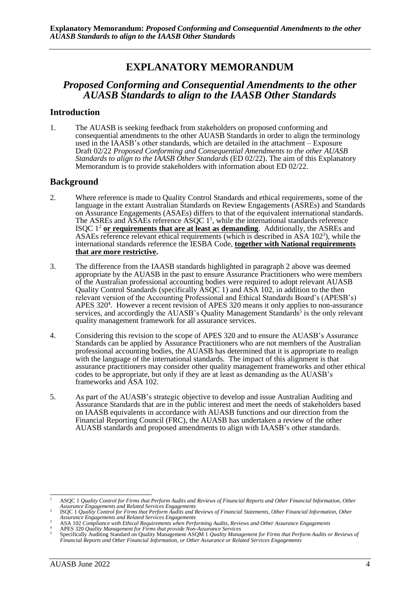### **EXPLANATORY MEMORANDUM**

### *Proposed Conforming and Consequential Amendments to the other AUASB Standards to align to the IAASB Other Standards*

#### **Introduction**

1. The AUASB is seeking feedback from stakeholders on proposed conforming and consequential amendments to the other AUASB Standards in order to align the terminology used in the IAASB's other standards, which are detailed in the attachment – Exposure Draft 02/22 *Proposed Conforming and Consequential Amendments to the other AUASB Standards to align to the IAASB Other Standards* (ED 02/22). The aim of this Explanatory Memorandum is to provide stakeholders with information about ED 02/22.

#### **Background**

- 2. Where reference is made to Quality Control Standards and ethical requirements, some of the language in the extant Australian Standards on Review Engagements (ASREs) and Standards on Assurance Engagements (ASAEs) differs to that of the equivalent international standards. The ASREs and  $\overline{ASAEs}$  reference ASQC  $1^1$ , while the international standards reference ISQC 1 <sup>2</sup> **or requirements that are at least as demanding**. Additionally, the ASREs and ASAEs reference relevant ethical requirements (which is described in ASA 102<sup>3</sup> ), while the international standards reference the IESBA Code, **together with National requirements that are more restrictive.**
- 3. The difference from the IAASB standards highlighted in paragraph 2 above was deemed appropriate by the AUASB in the past to ensure Assurance Practitioners who were members of the Australian professional accounting bodies were required to adopt relevant AUASB Quality Control Standards (specifically ASQC 1) and ASA 102, in addition to the then relevant version of the Accounting Professional and Ethical Standards Board's (APESB's) APES 320<sup>4</sup>. However a recent revision of APES 320 means it only applies to non-assurance services, and accordingly the AUASB's Quality Management Standards<sup>5</sup> is the only relevant quality management framework for all assurance services.
- 4. Considering this revision to the scope of APES 320 and to ensure the AUASB's Assurance Standards can be applied by Assurance Practitioners who are not members of the Australian professional accounting bodies, the AUASB has determined that it is appropriate to realign with the language of the international standards. The impact of this alignment is that assurance practitioners may consider other quality management frameworks and other ethical codes to be appropriate, but only if they are at least as demanding as the AUASB's frameworks and ASA 102.
- 5. As part of the AUASB's strategic objective to develop and issue Australian Auditing and Assurance Standards that are in the public interest and meet the needs of stakeholders based on IAASB equivalents in accordance with AUASB functions and our direction from the Financial Reporting Council (FRC), the AUASB has undertaken a review of the other AUASB standards and proposed amendments to align with IAASB's other standards.

<sup>1</sup> ASQC 1 *Quality Control for Firms that Perform Audits and Reviews of Financial Reports and Other Financial Information, Other Assurance Engagements and Related Services Engagements*

<sup>2</sup> ISQC 1 *Quality Control for Firms that Perform Audits and Reviews of Financial Statements, Other Financial Information, Other Assurance Engagements and Related Services Engagements*

<sup>3</sup> ASA 102 *Compliance with Ethical Requirements when Performing Audits, Reviews and Other Assurance Engagements*

<sup>4</sup> APES 320 *Quality Management for Firms that provide Non-Assurance Services*

<sup>5</sup> Specifically Auditing Standard on Quality Management ASQM 1 *Quality Management for Firms that Perform Audits or Reviews of Financial Reports and Other Financial Information, or Other Assurance or Related Services Engagements*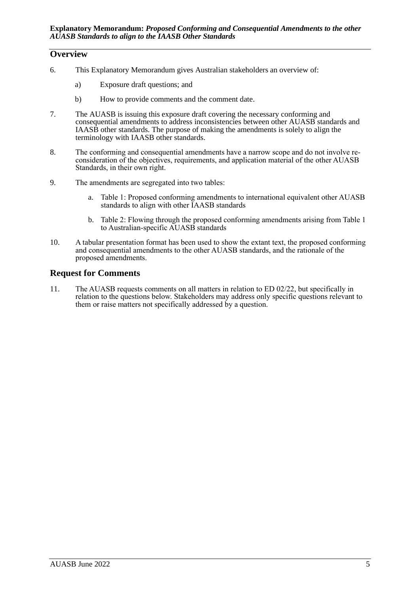#### **Overview**

- 6. This Explanatory Memorandum gives Australian stakeholders an overview of:
	- a) Exposure draft questions; and
	- b) How to provide comments and the comment date.
- 7. The AUASB is issuing this exposure draft covering the necessary conforming and consequential amendments to address inconsistencies between other AUASB standards and IAASB other standards. The purpose of making the amendments is solely to align the terminology with IAASB other standards.
- 8. The conforming and consequential amendments have a narrow scope and do not involve reconsideration of the objectives, requirements, and application material of the other AUASB Standards, in their own right.
- 9. The amendments are segregated into two tables:
	- a. Table 1: Proposed conforming amendments to international equivalent other AUASB standards to align with other IAASB standards
	- b. Table 2: Flowing through the proposed conforming amendments arising from Table 1 to Australian-specific AUASB standards
- 10. A tabular presentation format has been used to show the extant text, the proposed conforming and consequential amendments to the other AUASB standards, and the rationale of the proposed amendments.

#### **Request for Comments**

11. The AUASB requests comments on all matters in relation to ED 02/22, but specifically in relation to the questions below. Stakeholders may address only specific questions relevant to them or raise matters not specifically addressed by a question.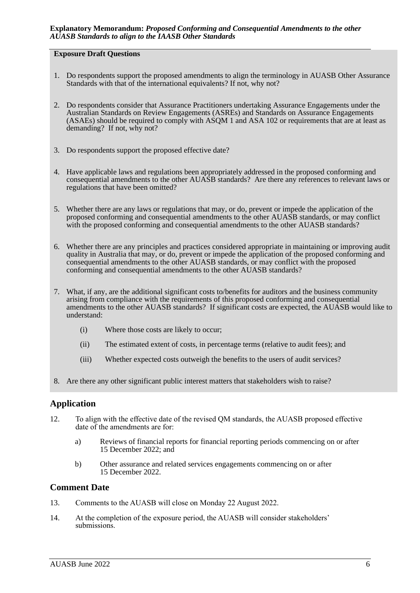#### **Exposure Draft Questions**

- 1. Do respondents support the proposed amendments to align the terminology in AUASB Other Assurance Standards with that of the international equivalents? If not, why not?
- 2. Do respondents consider that Assurance Practitioners undertaking Assurance Engagements under the Australian Standards on Review Engagements (ASREs) and Standards on Assurance Engagements (ASAEs) should be required to comply with ASQM 1 and ASA 102 or requirements that are at least as demanding? If not, why not?
- 3. Do respondents support the proposed effective date?
- 4. Have applicable laws and regulations been appropriately addressed in the proposed conforming and consequential amendments to the other AUASB standards? Are there any references to relevant laws or regulations that have been omitted?
- 5. Whether there are any laws or regulations that may, or do, prevent or impede the application of the proposed conforming and consequential amendments to the other AUASB standards, or may conflict with the proposed conforming and consequential amendments to the other AUASB standards?
- 6. Whether there are any principles and practices considered appropriate in maintaining or improving audit quality in Australia that may, or do, prevent or impede the application of the proposed conforming and consequential amendments to the other AUASB standards, or may conflict with the proposed conforming and consequential amendments to the other AUASB standards?
- 7. What, if any, are the additional significant costs to/benefits for auditors and the business community arising from compliance with the requirements of this proposed conforming and consequential amendments to the other AUASB standards? If significant costs are expected, the AUASB would like to understand:
	- (i) Where those costs are likely to occur;
	- (ii) The estimated extent of costs, in percentage terms (relative to audit fees); and
	- (iii) Whether expected costs outweigh the benefits to the users of audit services?
- 8. Are there any other significant public interest matters that stakeholders wish to raise?

#### **Application**

- 12. To align with the effective date of the revised QM standards, the AUASB proposed effective date of the amendments are for:
	- a) Reviews of financial reports for financial reporting periods commencing on or after 15 December 2022; and
	- b) Other assurance and related services engagements commencing on or after 15 December 2022.

#### **Comment Date**

- 13. Comments to the AUASB will close on Monday 22 August 2022.
- 14. At the completion of the exposure period, the AUASB will consider stakeholders' submissions.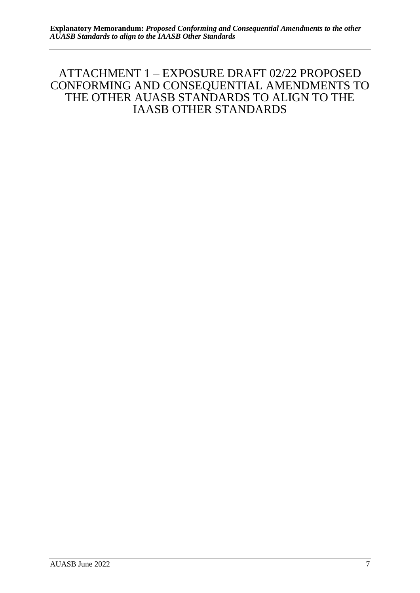ATTACHMENT 1 – EXPOSURE DRAFT 02/22 PROPOSED CONFORMING AND CONSEQUENTIAL AMENDMENTS TO THE OTHER AUASB STANDARDS TO ALIGN TO THE IAASB OTHER STANDARDS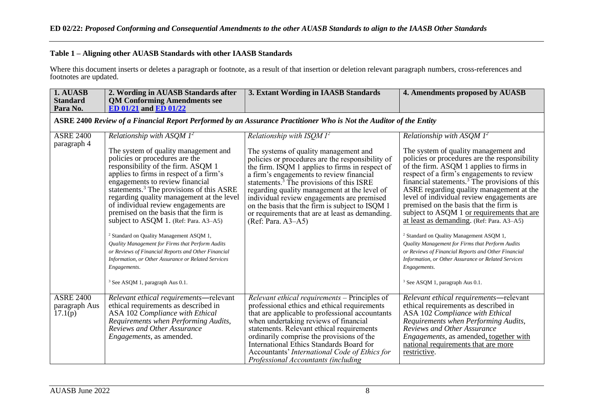#### **Table 1 – Aligning other AUASB Standards with other IAASB Standards**

Where this document inserts or deletes a paragraph or footnote, as a result of that insertion or deletion relevant paragraph numbers, cross-references and footnotes are updated.

| 1. AUASB<br><b>Standard</b><br>Para No.      | 2. Wording in AUASB Standards after<br><b>QM Conforming Amendments see</b><br><b>ED 01/21 and ED 01/22</b>                                                                                                                                                                                                                                                                                                                                                                                                                                                                                                                                                                                                         | 3. Extant Wording in IAASB Standards                                                                                                                                                                                                                                                                                                                                                                                                                                       | 4. Amendments proposed by AUASB                                                                                                                                                                                                                                                                                                                                                                                                                                                                                                                                                                                                                                                                                                                                   |
|----------------------------------------------|--------------------------------------------------------------------------------------------------------------------------------------------------------------------------------------------------------------------------------------------------------------------------------------------------------------------------------------------------------------------------------------------------------------------------------------------------------------------------------------------------------------------------------------------------------------------------------------------------------------------------------------------------------------------------------------------------------------------|----------------------------------------------------------------------------------------------------------------------------------------------------------------------------------------------------------------------------------------------------------------------------------------------------------------------------------------------------------------------------------------------------------------------------------------------------------------------------|-------------------------------------------------------------------------------------------------------------------------------------------------------------------------------------------------------------------------------------------------------------------------------------------------------------------------------------------------------------------------------------------------------------------------------------------------------------------------------------------------------------------------------------------------------------------------------------------------------------------------------------------------------------------------------------------------------------------------------------------------------------------|
|                                              |                                                                                                                                                                                                                                                                                                                                                                                                                                                                                                                                                                                                                                                                                                                    | ASRE 2400 Review of a Financial Report Performed by an Assurance Practitioner Who is Not the Auditor of the Entity                                                                                                                                                                                                                                                                                                                                                         |                                                                                                                                                                                                                                                                                                                                                                                                                                                                                                                                                                                                                                                                                                                                                                   |
| <b>ASRE 2400</b><br>paragraph 4              | Relationship with ASQM $1^2$                                                                                                                                                                                                                                                                                                                                                                                                                                                                                                                                                                                                                                                                                       | Relationship with ISQM $1^2$                                                                                                                                                                                                                                                                                                                                                                                                                                               | Relationship with ASQM $1^2$                                                                                                                                                                                                                                                                                                                                                                                                                                                                                                                                                                                                                                                                                                                                      |
|                                              | The system of quality management and<br>policies or procedures are the<br>responsibility of the firm. ASQM 1<br>applies to firms in respect of a firm's<br>engagements to review financial<br>statements. <sup>3</sup> The provisions of this ASRE<br>regarding quality management at the level<br>of individual review engagements are<br>premised on the basis that the firm is<br>subject to ASQM 1. (Ref: Para. A3–A5)<br><sup>2</sup> Standard on Quality Management ASQM 1,<br>Quality Management for Firms that Perform Audits<br>or Reviews of Financial Reports and Other Financial<br>Information, or Other Assurance or Related Services<br>Engagements.<br><sup>3</sup> See ASQM 1, paragraph Aus 0.1. | The systems of quality management and<br>policies or procedures are the responsibility of<br>the firm. ISQM 1 applies to firms in respect of<br>a firm's engagements to review financial<br>statements. <sup>3</sup> The provisions of this ISRE<br>regarding quality management at the level of<br>individual review engagements are premised<br>on the basis that the firm is subject to ISQM 1<br>or requirements that are at least as demanding.<br>(Ref: Para. A3–A5) | The system of quality management and<br>policies or procedures are the responsibility<br>of the firm. ASQM 1 applies to firms in<br>respect of a firm's engagements to review<br>financial statements. <sup>3</sup> The provisions of this<br>ASRE regarding quality management at the<br>level of individual review engagements are<br>premised on the basis that the firm is<br>subject to ASQM 1 or requirements that are<br>at least as demanding. (Ref: Para. A3-A5)<br><sup>2</sup> Standard on Quality Management ASQM 1,<br>Quality Management for Firms that Perform Audits<br>or Reviews of Financial Reports and Other Financial<br>Information, or Other Assurance or Related Services<br>Engagements.<br><sup>3</sup> See ASQM 1, paragraph Aus 0.1. |
| <b>ASRE 2400</b><br>paragraph Aus<br>17.1(p) | Relevant ethical requirements-relevant<br>ethical requirements as described in<br>ASA 102 Compliance with Ethical<br>Requirements when Performing Audits,<br>Reviews and Other Assurance<br><i>Engagements</i> , as amended.                                                                                                                                                                                                                                                                                                                                                                                                                                                                                       | Relevant ethical requirements - Principles of<br>professional ethics and ethical requirements<br>that are applicable to professional accountants<br>when undertaking reviews of financial<br>statements. Relevant ethical requirements<br>ordinarily comprise the provisions of the<br>International Ethics Standards Board for                                                                                                                                            | Relevant ethical requirements-relevant<br>ethical requirements as described in<br>ASA 102 Compliance with Ethical<br>Requirements when Performing Audits,<br>Reviews and Other Assurance<br>Engagements, as amended, together with<br>national requirements that are more                                                                                                                                                                                                                                                                                                                                                                                                                                                                                         |
|                                              |                                                                                                                                                                                                                                                                                                                                                                                                                                                                                                                                                                                                                                                                                                                    | Accountants' International Code of Ethics for<br>Professional Accountants (including                                                                                                                                                                                                                                                                                                                                                                                       | restrictive.                                                                                                                                                                                                                                                                                                                                                                                                                                                                                                                                                                                                                                                                                                                                                      |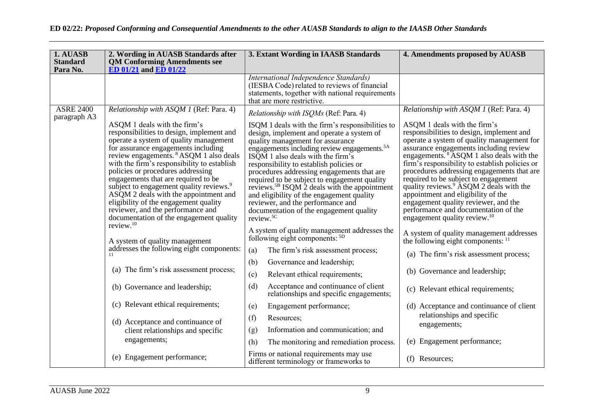| 1. AUASB                    | 2. Wording in AUASB Standards after                                                                                                                                                                                                                                                                                                                                                                                                                                                                                                                                                           | 3. Extant Wording in IAASB Standards                                                                                                                                                                                                                                                                                                                                                                                                                                                                                                                                                         | 4. Amendments proposed by AUASB                                                                                                                                                                                                                                                                                                                                                                                                                                                                                                                                                            |
|-----------------------------|-----------------------------------------------------------------------------------------------------------------------------------------------------------------------------------------------------------------------------------------------------------------------------------------------------------------------------------------------------------------------------------------------------------------------------------------------------------------------------------------------------------------------------------------------------------------------------------------------|----------------------------------------------------------------------------------------------------------------------------------------------------------------------------------------------------------------------------------------------------------------------------------------------------------------------------------------------------------------------------------------------------------------------------------------------------------------------------------------------------------------------------------------------------------------------------------------------|--------------------------------------------------------------------------------------------------------------------------------------------------------------------------------------------------------------------------------------------------------------------------------------------------------------------------------------------------------------------------------------------------------------------------------------------------------------------------------------------------------------------------------------------------------------------------------------------|
| <b>Standard</b><br>Para No. | <b>QM Conforming Amendments see</b><br>ED 01/21 and ED 01/22                                                                                                                                                                                                                                                                                                                                                                                                                                                                                                                                  |                                                                                                                                                                                                                                                                                                                                                                                                                                                                                                                                                                                              |                                                                                                                                                                                                                                                                                                                                                                                                                                                                                                                                                                                            |
|                             |                                                                                                                                                                                                                                                                                                                                                                                                                                                                                                                                                                                               | International Independence Standards)<br>(IESBA Code) related to reviews of financial<br>statements, together with national requirements<br>that are more restrictive.                                                                                                                                                                                                                                                                                                                                                                                                                       |                                                                                                                                                                                                                                                                                                                                                                                                                                                                                                                                                                                            |
| <b>ASRE 2400</b>            | <i>Relationship with ASOM 1 (Ref: Para. 4)</i>                                                                                                                                                                                                                                                                                                                                                                                                                                                                                                                                                | Relationship with ISOMs (Ref: Para. 4)                                                                                                                                                                                                                                                                                                                                                                                                                                                                                                                                                       | Relationship with ASOM 1 (Ref: Para. 4)                                                                                                                                                                                                                                                                                                                                                                                                                                                                                                                                                    |
| paragraph A3                | ASQM 1 deals with the firm's<br>responsibilities to design, implement and<br>operate a system of quality management<br>for assurance engagements including<br>review engagements. <sup>8</sup> ASQM 1 also deals<br>with the firm's responsibility to establish<br>policies or procedures addressing<br>engagements that are required to be<br>subject to engagement quality reviews. <sup>9</sup><br>ASQM 2 deals with the appointment and<br>eligibility of the engagement quality<br>reviewer, and the performance and<br>documentation of the engagement quality<br>review. <sup>10</sup> | ISQM 1 deals with the firm's responsibilities to<br>design, implement and operate a system of<br>quality management for assurance<br>engagements including review engagements. <sup>5A</sup><br>ISQM 1 also deals with the firm's<br>responsibility to establish policies or<br>procedures addressing engagements that are<br>required to be subject to engagement quality<br>reviews. <sup>5B</sup> ISQM 2 deals with the appointment<br>and eligibility of the engagement quality<br>reviewer, and the performance and<br>documentation of the engagement quality<br>review. <sup>5C</sup> | ASQM 1 deals with the firm's<br>responsibilities to design, implement and<br>operate a system of quality management for<br>assurance engagements including review<br>engagements. <sup>8</sup> ASQM 1 also deals with the<br>firm's responsibility to establish policies or<br>procedures addressing engagements that are<br>required to be subject to engagement<br>quality reviews. <sup>9</sup> ASQM 2 deals with the<br>appointment and eligibility of the<br>engagement quality reviewer, and the<br>performance and documentation of the<br>engagement quality review. <sup>10</sup> |
|                             | A system of quality management                                                                                                                                                                                                                                                                                                                                                                                                                                                                                                                                                                | A system of quality management addresses the<br>following eight components: <sup>5D</sup>                                                                                                                                                                                                                                                                                                                                                                                                                                                                                                    | A system of quality management addresses<br>the following eight components: 11                                                                                                                                                                                                                                                                                                                                                                                                                                                                                                             |
|                             | addresses the following eight components:                                                                                                                                                                                                                                                                                                                                                                                                                                                                                                                                                     | The firm's risk assessment process;<br>(a)                                                                                                                                                                                                                                                                                                                                                                                                                                                                                                                                                   | (a) The firm's risk assessment process;                                                                                                                                                                                                                                                                                                                                                                                                                                                                                                                                                    |
|                             | (a) The firm's risk assessment process;                                                                                                                                                                                                                                                                                                                                                                                                                                                                                                                                                       | (b)<br>Governance and leadership;<br>Relevant ethical requirements;<br>(c)                                                                                                                                                                                                                                                                                                                                                                                                                                                                                                                   | (b) Governance and leadership;                                                                                                                                                                                                                                                                                                                                                                                                                                                                                                                                                             |
|                             | (b) Governance and leadership;                                                                                                                                                                                                                                                                                                                                                                                                                                                                                                                                                                | (d)<br>Acceptance and continuance of client<br>relationships and specific engagements;                                                                                                                                                                                                                                                                                                                                                                                                                                                                                                       | (c) Relevant ethical requirements;                                                                                                                                                                                                                                                                                                                                                                                                                                                                                                                                                         |
|                             | (c) Relevant ethical requirements;                                                                                                                                                                                                                                                                                                                                                                                                                                                                                                                                                            | Engagement performance;<br>(e)                                                                                                                                                                                                                                                                                                                                                                                                                                                                                                                                                               | (d) Acceptance and continuance of client                                                                                                                                                                                                                                                                                                                                                                                                                                                                                                                                                   |
|                             | (d) Acceptance and continuance of                                                                                                                                                                                                                                                                                                                                                                                                                                                                                                                                                             | (f)<br>Resources;                                                                                                                                                                                                                                                                                                                                                                                                                                                                                                                                                                            | relationships and specific<br>engagements;                                                                                                                                                                                                                                                                                                                                                                                                                                                                                                                                                 |
|                             | client relationships and specific                                                                                                                                                                                                                                                                                                                                                                                                                                                                                                                                                             | Information and communication; and<br>(g)                                                                                                                                                                                                                                                                                                                                                                                                                                                                                                                                                    |                                                                                                                                                                                                                                                                                                                                                                                                                                                                                                                                                                                            |
|                             | engagements;                                                                                                                                                                                                                                                                                                                                                                                                                                                                                                                                                                                  | (h)<br>The monitoring and remediation process.                                                                                                                                                                                                                                                                                                                                                                                                                                                                                                                                               | (e) Engagement performance;                                                                                                                                                                                                                                                                                                                                                                                                                                                                                                                                                                |
|                             | (e) Engagement performance;                                                                                                                                                                                                                                                                                                                                                                                                                                                                                                                                                                   | Firms or national requirements may use<br>different terminology or frameworks to                                                                                                                                                                                                                                                                                                                                                                                                                                                                                                             | (f) Resources;                                                                                                                                                                                                                                                                                                                                                                                                                                                                                                                                                                             |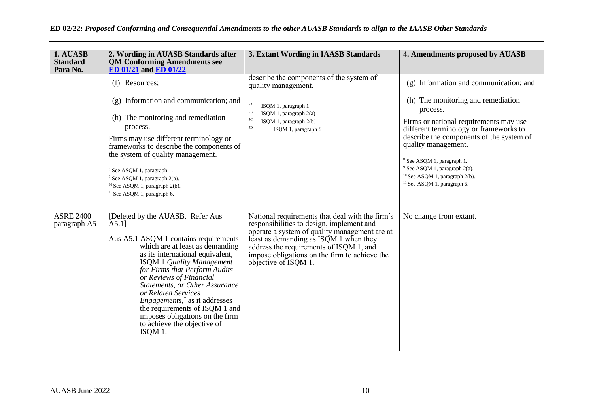| 1. AUASB<br><b>Standard</b>      | 2. Wording in AUASB Standards after<br><b>QM Conforming Amendments see</b>                                                                                                                                                                                                                                                                                                                                                                                                                                                                                              | 3. Extant Wording in IAASB Standards                                                                                                                                                                                                                                                                        | 4. Amendments proposed by AUASB                                                                                                                                                                                                                                                                                                                        |
|----------------------------------|-------------------------------------------------------------------------------------------------------------------------------------------------------------------------------------------------------------------------------------------------------------------------------------------------------------------------------------------------------------------------------------------------------------------------------------------------------------------------------------------------------------------------------------------------------------------------|-------------------------------------------------------------------------------------------------------------------------------------------------------------------------------------------------------------------------------------------------------------------------------------------------------------|--------------------------------------------------------------------------------------------------------------------------------------------------------------------------------------------------------------------------------------------------------------------------------------------------------------------------------------------------------|
| Para No.                         | ED 01/21 and ED 01/22                                                                                                                                                                                                                                                                                                                                                                                                                                                                                                                                                   |                                                                                                                                                                                                                                                                                                             |                                                                                                                                                                                                                                                                                                                                                        |
|                                  | (f) Resources;                                                                                                                                                                                                                                                                                                                                                                                                                                                                                                                                                          | describe the components of the system of<br>quality management.                                                                                                                                                                                                                                             | (g) Information and communication; and                                                                                                                                                                                                                                                                                                                 |
|                                  | (g) Information and communication; and<br>(h) The monitoring and remediation<br>process.<br>Firms may use different terminology or<br>frameworks to describe the components of<br>the system of quality management.<br><sup>8</sup> See ASQM 1, paragraph 1.<br>$9$ See ASQM 1, paragraph 2(a).                                                                                                                                                                                                                                                                         | 5A<br>ISQM 1, paragraph 1<br>$5\mathrm{B}$<br>ISQM 1, paragraph 2(a)<br>$5\mathrm{C}$<br>ISQM 1, paragraph 2(b)<br>$5\mathrm{D}$<br>ISQM 1, paragraph 6                                                                                                                                                     | (h) The monitoring and remediation<br>process.<br>Firms or national requirements may use<br>different terminology or frameworks to<br>describe the components of the system of<br>quality management.<br><sup>8</sup> See ASQM 1, paragraph 1.<br>$9$ See ASQM 1, paragraph 2(a).<br>$10$ See ASQM 1, paragraph 2(b).<br>$11$ See ASQM 1, paragraph 6. |
| <b>ASRE 2400</b><br>paragraph A5 | $10$ See ASQM 1, paragraph 2(b).<br><sup>11</sup> See ASQM 1, paragraph 6.<br>[Deleted by the AUASB. Refer Aus<br>$A5.1$ ]<br>Aus A5.1 ASQM 1 contains requirements<br>which are at least as demanding<br>as its international equivalent,<br><b>ISQM 1 Quality Management</b><br>for Firms that Perform Audits<br>or Reviews of Financial<br>Statements, or Other Assurance<br>or Related Services<br><i>Engagements</i> , <sup>*</sup> as it addresses<br>the requirements of ISQM 1 and<br>imposes obligations on the firm<br>to achieve the objective of<br>ISQM 1. | National requirements that deal with the firm's<br>responsibilities to design, implement and<br>operate a system of quality management are at<br>least as demanding as ISOM 1 when they<br>address the requirements of ISQM 1, and<br>impose obligations on the firm to achieve the<br>objective of ISQM 1. | No change from extant.                                                                                                                                                                                                                                                                                                                                 |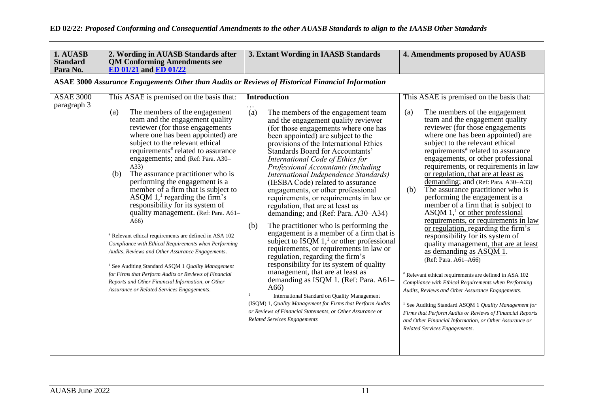| 1. AUASB<br><b>Standard</b><br>Para No. | 2. Wording in AUASB Standards after<br><b>QM Conforming Amendments see</b><br><b>ED 01/21 and ED 01/22</b>                                                                                                                                                                                                                                                                                                                                                                                                                                                                                                                                                                                                                                                                                                                                                                                                                                                                                     | 3. Extant Wording in IAASB Standards                                                                                                                                                                                                                                                                                                                                                                                                                                                                                                                                                                                                                                                                                                                                                                                                                                                                                                                                                                                                                                                                                                                          | 4. Amendments proposed by AUASB                                                                                                                                                                                                                                                                                                                                                                                                                                                                                                                                                                                                                                                                                                                                                                                                                                                                                                                                                                                                                                                                                                                                                                                                      |
|-----------------------------------------|------------------------------------------------------------------------------------------------------------------------------------------------------------------------------------------------------------------------------------------------------------------------------------------------------------------------------------------------------------------------------------------------------------------------------------------------------------------------------------------------------------------------------------------------------------------------------------------------------------------------------------------------------------------------------------------------------------------------------------------------------------------------------------------------------------------------------------------------------------------------------------------------------------------------------------------------------------------------------------------------|---------------------------------------------------------------------------------------------------------------------------------------------------------------------------------------------------------------------------------------------------------------------------------------------------------------------------------------------------------------------------------------------------------------------------------------------------------------------------------------------------------------------------------------------------------------------------------------------------------------------------------------------------------------------------------------------------------------------------------------------------------------------------------------------------------------------------------------------------------------------------------------------------------------------------------------------------------------------------------------------------------------------------------------------------------------------------------------------------------------------------------------------------------------|--------------------------------------------------------------------------------------------------------------------------------------------------------------------------------------------------------------------------------------------------------------------------------------------------------------------------------------------------------------------------------------------------------------------------------------------------------------------------------------------------------------------------------------------------------------------------------------------------------------------------------------------------------------------------------------------------------------------------------------------------------------------------------------------------------------------------------------------------------------------------------------------------------------------------------------------------------------------------------------------------------------------------------------------------------------------------------------------------------------------------------------------------------------------------------------------------------------------------------------|
|                                         |                                                                                                                                                                                                                                                                                                                                                                                                                                                                                                                                                                                                                                                                                                                                                                                                                                                                                                                                                                                                | ASAE 3000 Assurance Engagements Other than Audits or Reviews of Historical Financial Information                                                                                                                                                                                                                                                                                                                                                                                                                                                                                                                                                                                                                                                                                                                                                                                                                                                                                                                                                                                                                                                              |                                                                                                                                                                                                                                                                                                                                                                                                                                                                                                                                                                                                                                                                                                                                                                                                                                                                                                                                                                                                                                                                                                                                                                                                                                      |
| <b>ASAE 3000</b><br>paragraph 3         | This ASAE is premised on the basis that:<br>The members of the engagement<br>(a)<br>team and the engagement quality<br>reviewer (for those engagements<br>where one has been appointed) are<br>subject to the relevant ethical<br>requirements <sup>#</sup> related to assurance<br>engagements; and (Ref: Para. A30-<br>A33)<br>The assurance practitioner who is<br>(b)<br>performing the engagement is a<br>member of a firm that is subject to<br>ASQM $1$ , <sup>1</sup> regarding the firm's<br>responsibility for its system of<br>quality management. (Ref: Para. A61-<br>A66<br># Relevant ethical requirements are defined in ASA 102<br>Compliance with Ethical Requirements when Performing<br>Audits, Reviews and Other Assurance Engagements.<br><sup>1</sup> See Auditing Standard ASQM 1 <i>Quality Management</i><br>for Firms that Perform Audits or Reviews of Financial<br>Reports and Other Financial Information, or Other<br>Assurance or Related Services Engagements. | Introduction<br>(a)<br>The members of the engagement team<br>and the engagement quality reviewer<br>(for those engagements where one has<br>been appointed) are subject to the<br>provisions of the International Ethics<br>Standards Board for Accountants'<br>International Code of Ethics for<br>Professional Accountants (including<br>International Independence Standards)<br>(IESBA Code) related to assurance<br>engagements, or other professional<br>requirements, or requirements in law or<br>regulation, that are at least as<br>demanding; and (Ref: Para. A30-A34)<br>The practitioner who is performing the<br>(b)<br>engagement is a member of a firm that is<br>subject to ISQM $11$ or other professional<br>requirements, or requirements in law or<br>regulation, regarding the firm's<br>responsibility for its system of quality<br>management, that are at least as<br>demanding as ISQM 1. (Ref: Para. A61–<br>A66<br>International Standard on Quality Management<br>(ISQM) 1, Quality Management for Firms that Perform Audits<br>or Reviews of Financial Statements, or Other Assurance or<br><b>Related Services Engagements</b> | This ASAE is premised on the basis that:<br>The members of the engagement<br>(a)<br>team and the engagement quality<br>reviewer (for those engagements<br>where one has been appointed) are<br>subject to the relevant ethical<br>requirements <sup>#</sup> related to assurance<br>engagements, or other professional<br>requirements, or requirements in law<br>or regulation, that are at least as<br>demanding; and (Ref: Para. A30–A33)<br>The assurance practitioner who is<br>(b)<br>performing the engagement is a<br>member of a firm that is subject to<br>ASQM $11$ or other professional<br>requirements, or requirements in law<br>or regulation, regarding the firm's<br>responsibility for its system of<br>quality management, that are at least<br>as demanding as $AS\overline{QM}1$ .<br>(Ref: Para. A61-A66)<br># Relevant ethical requirements are defined in ASA 102<br>Compliance with Ethical Requirements when Performing<br>Audits, Reviews and Other Assurance Engagements.<br><sup>1</sup> See Auditing Standard ASQM 1 $Quality$ Management for<br>Firms that Perform Audits or Reviews of Financial Reports<br>and Other Financial Information, or Other Assurance or<br>Related Services Engagements. |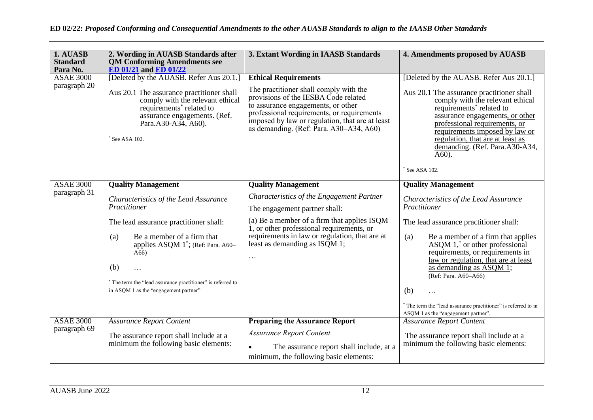| 1. AUASB                         | 2. Wording in AUASB Standards after                                                                                                                                                                                                                                                                                                                    | 3. Extant Wording in IAASB Standards                                                                                                                                                                                                                                                               | 4. Amendments proposed by AUASB                                                                                                                                                                                                                                                                                                                                                                                                                                        |
|----------------------------------|--------------------------------------------------------------------------------------------------------------------------------------------------------------------------------------------------------------------------------------------------------------------------------------------------------------------------------------------------------|----------------------------------------------------------------------------------------------------------------------------------------------------------------------------------------------------------------------------------------------------------------------------------------------------|------------------------------------------------------------------------------------------------------------------------------------------------------------------------------------------------------------------------------------------------------------------------------------------------------------------------------------------------------------------------------------------------------------------------------------------------------------------------|
| <b>Standard</b><br>Para No.      | <b>QM Conforming Amendments see</b><br>ED 01/21 and ED 01/22                                                                                                                                                                                                                                                                                           |                                                                                                                                                                                                                                                                                                    |                                                                                                                                                                                                                                                                                                                                                                                                                                                                        |
| <b>ASAE 3000</b><br>paragraph 20 | [Deleted by the AUASB. Refer Aus 20.1.]<br>Aus 20.1 The assurance practitioner shall<br>comply with the relevant ethical<br>requirements <sup>*</sup> related to<br>assurance engagements. (Ref.<br>Para.A30-A34, A60).<br>See ASA 102.                                                                                                                | <b>Ethical Requirements</b><br>The practitioner shall comply with the<br>provisions of the IESBA Code related<br>to assurance engagements, or other<br>professional requirements, or requirements<br>imposed by law or regulation, that are at least<br>as demanding. (Ref: Para. A30–A34, A60)    | [Deleted by the AUASB. Refer Aus 20.1.]<br>Aus 20.1 The assurance practitioner shall<br>comply with the relevant ethical<br>requirements <sup>*</sup> related to<br>assurance engagements, or other<br>professional requirements, or<br>requirements imposed by law or<br>regulation, that are at least as<br>demanding. (Ref. Para.A30-A34,<br>$A60$ ).<br>See ASA 102.                                                                                               |
| <b>ASAE 3000</b><br>paragraph 31 | <b>Quality Management</b><br>Characteristics of the Lead Assurance<br>Practitioner<br>The lead assurance practitioner shall:<br>Be a member of a firm that<br>(a)<br>applies ASQM 1 <sup>*</sup> ; (Ref: Para. A60–<br>A66<br>(b)<br>$\cdots$<br>* The term the "lead assurance practitioner" is referred to<br>in ASQM 1 as the "engagement partner". | <b>Quality Management</b><br>Characteristics of the Engagement Partner<br>The engagement partner shall:<br>(a) Be a member of a firm that applies ISQM<br>1, or other professional requirements, or<br>requirements in law or regulation, that are at<br>least as demanding as ISQM 1;<br>$\cdots$ | <b>Quality Management</b><br>Characteristics of the Lead Assurance<br>Practitioner<br>The lead assurance practitioner shall:<br>(a)<br>Be a member of a firm that applies<br>ASQM 1, <sup>*</sup> or other professional<br>requirements, or requirements in<br>law or regulation, that are at least<br>as demanding as ASQM 1;<br>(Ref: Para. A60-A66)<br>(b)<br>* The term the "lead assurance practitioner" is referred to in<br>ASQM 1 as the "engagement partner". |
| <b>ASAE 3000</b><br>paragraph 69 | <b>Assurance Report Content</b><br>The assurance report shall include at a<br>minimum the following basic elements:                                                                                                                                                                                                                                    | <b>Preparing the Assurance Report</b><br><b>Assurance Report Content</b><br>The assurance report shall include, at a<br>$\bullet$<br>minimum, the following basic elements:                                                                                                                        | <b>Assurance Report Content</b><br>The assurance report shall include at a<br>minimum the following basic elements:                                                                                                                                                                                                                                                                                                                                                    |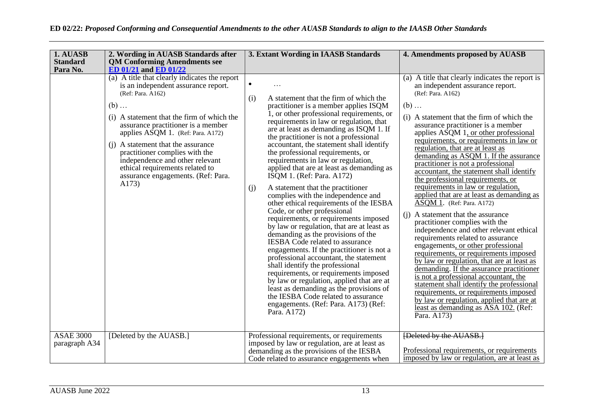| 1. AUASB                          | 2. Wording in AUASB Standards after                                                                                                                                                                                                                                                                                                                                                                                                      | 3. Extant Wording in IAASB Standards                                                                                                                                                                                                                                                                                                                                                                                                                                                                                                                                                                                                                                                                                                                                                                                                                                                                                                                                                                                                                                                                                                                                          | 4. Amendments proposed by AUASB                                                                                                                                                                                                                                                                                                                                                                                                                                                                                                                                                                                                                                                                                                                                                                                                                                                                                                                                                                                                                                                                                                                                                    |
|-----------------------------------|------------------------------------------------------------------------------------------------------------------------------------------------------------------------------------------------------------------------------------------------------------------------------------------------------------------------------------------------------------------------------------------------------------------------------------------|-------------------------------------------------------------------------------------------------------------------------------------------------------------------------------------------------------------------------------------------------------------------------------------------------------------------------------------------------------------------------------------------------------------------------------------------------------------------------------------------------------------------------------------------------------------------------------------------------------------------------------------------------------------------------------------------------------------------------------------------------------------------------------------------------------------------------------------------------------------------------------------------------------------------------------------------------------------------------------------------------------------------------------------------------------------------------------------------------------------------------------------------------------------------------------|------------------------------------------------------------------------------------------------------------------------------------------------------------------------------------------------------------------------------------------------------------------------------------------------------------------------------------------------------------------------------------------------------------------------------------------------------------------------------------------------------------------------------------------------------------------------------------------------------------------------------------------------------------------------------------------------------------------------------------------------------------------------------------------------------------------------------------------------------------------------------------------------------------------------------------------------------------------------------------------------------------------------------------------------------------------------------------------------------------------------------------------------------------------------------------|
| <b>Standard</b><br>Para No.       | <b>QM Conforming Amendments see</b><br>ED 01/21 and ED 01/22                                                                                                                                                                                                                                                                                                                                                                             |                                                                                                                                                                                                                                                                                                                                                                                                                                                                                                                                                                                                                                                                                                                                                                                                                                                                                                                                                                                                                                                                                                                                                                               |                                                                                                                                                                                                                                                                                                                                                                                                                                                                                                                                                                                                                                                                                                                                                                                                                                                                                                                                                                                                                                                                                                                                                                                    |
|                                   | (a) A title that clearly indicates the report<br>is an independent assurance report.<br>(Ref: Para. A162)<br>$(b)$<br>(i) A statement that the firm of which the<br>assurance practitioner is a member<br>applies ASQM 1. (Ref: Para. A172)<br>(i) A statement that the assurance<br>practitioner complies with the<br>independence and other relevant<br>ethical requirements related to<br>assurance engagements. (Ref: Para.<br>A173) | $\bullet$<br>A statement that the firm of which the<br>(i)<br>practitioner is a member applies ISQM<br>1, or other professional requirements, or<br>requirements in law or regulation, that<br>are at least as demanding as ISQM 1. If<br>the practitioner is not a professional<br>accountant, the statement shall identify<br>the professional requirements, or<br>requirements in law or regulation,<br>applied that are at least as demanding as<br>ISQM 1. (Ref: Para. A172)<br>A statement that the practitioner<br>(i)<br>complies with the independence and<br>other ethical requirements of the IESBA<br>Code, or other professional<br>requirements, or requirements imposed<br>by law or regulation, that are at least as<br>demanding as the provisions of the<br><b>IESBA</b> Code related to assurance<br>engagements. If the practitioner is not a<br>professional accountant, the statement<br>shall identify the professional<br>requirements, or requirements imposed<br>by law or regulation, applied that are at<br>least as demanding as the provisions of<br>the IESBA Code related to assurance<br>engagements. (Ref: Para. A173) (Ref:<br>Para. A172) | (a) A title that clearly indicates the report is<br>an independent assurance report.<br>(Ref: Para. A162)<br>$(b)$<br>(i) A statement that the firm of which the<br>assurance practitioner is a member<br>applies ASQM 1, or other professional<br>requirements, or requirements in law or<br>regulation, that are at least as<br>demanding as ASQM 1. If the assurance<br>practitioner is not a professional<br>accountant, the statement shall identify<br>the professional requirements, or<br>requirements in law or regulation,<br>applied that are at least as demanding as<br>ASOM 1. (Ref: Para. A172)<br>(i) A statement that the assurance<br>practitioner complies with the<br>independence and other relevant ethical<br>requirements related to assurance<br>engagements, or other professional<br>requirements, or requirements imposed<br>by law or regulation, that are at least as<br>demanding. If the assurance practitioner<br>is not a professional accountant, the<br>statement shall identify the professional<br>requirements, or requirements imposed<br>by law or regulation, applied that are at<br>least as demanding as ASA 102. (Ref:<br>Para. A173) |
| <b>ASAE 3000</b><br>paragraph A34 | [Deleted by the AUASB.]                                                                                                                                                                                                                                                                                                                                                                                                                  | Professional requirements, or requirements<br>imposed by law or regulation, are at least as<br>demanding as the provisions of the IESBA<br>Code related to assurance engagements when                                                                                                                                                                                                                                                                                                                                                                                                                                                                                                                                                                                                                                                                                                                                                                                                                                                                                                                                                                                         | [Deleted by the AUASB.]<br>Professional requirements, or requirements<br>imposed by law or regulation, are at least as                                                                                                                                                                                                                                                                                                                                                                                                                                                                                                                                                                                                                                                                                                                                                                                                                                                                                                                                                                                                                                                             |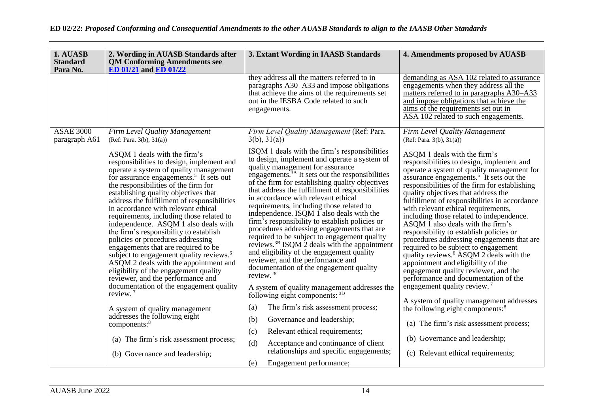| 1. AUASB<br><b>Standard</b> | 2. Wording in AUASB Standards after<br><b>QM Conforming Amendments see</b>                                                                                                                                                                                                                                                                                                                                                                                                                                                                                                                                                                                                                                                                                                          | 3. Extant Wording in IAASB Standards                                                                                                                                                                                                                                                                                                                                                                                                                                                                                                                                                                                                                                                                                                                                                                                                                     | 4. Amendments proposed by AUASB                                                                                                                                                                                                                                                                                                                                                                                                                                                                                                                                                                                                                                                                                                                                                                                       |
|-----------------------------|-------------------------------------------------------------------------------------------------------------------------------------------------------------------------------------------------------------------------------------------------------------------------------------------------------------------------------------------------------------------------------------------------------------------------------------------------------------------------------------------------------------------------------------------------------------------------------------------------------------------------------------------------------------------------------------------------------------------------------------------------------------------------------------|----------------------------------------------------------------------------------------------------------------------------------------------------------------------------------------------------------------------------------------------------------------------------------------------------------------------------------------------------------------------------------------------------------------------------------------------------------------------------------------------------------------------------------------------------------------------------------------------------------------------------------------------------------------------------------------------------------------------------------------------------------------------------------------------------------------------------------------------------------|-----------------------------------------------------------------------------------------------------------------------------------------------------------------------------------------------------------------------------------------------------------------------------------------------------------------------------------------------------------------------------------------------------------------------------------------------------------------------------------------------------------------------------------------------------------------------------------------------------------------------------------------------------------------------------------------------------------------------------------------------------------------------------------------------------------------------|
| Para No.                    | <b>ED 01/21 and ED 01/22</b>                                                                                                                                                                                                                                                                                                                                                                                                                                                                                                                                                                                                                                                                                                                                                        |                                                                                                                                                                                                                                                                                                                                                                                                                                                                                                                                                                                                                                                                                                                                                                                                                                                          |                                                                                                                                                                                                                                                                                                                                                                                                                                                                                                                                                                                                                                                                                                                                                                                                                       |
|                             |                                                                                                                                                                                                                                                                                                                                                                                                                                                                                                                                                                                                                                                                                                                                                                                     | they address all the matters referred to in<br>paragraphs A30-A33 and impose obligations<br>that achieve the aims of the requirements set<br>out in the IESBA Code related to such<br>engagements.                                                                                                                                                                                                                                                                                                                                                                                                                                                                                                                                                                                                                                                       | demanding as $\angle$ ASA 102 related to assurance<br>engagements when they address all the<br>matters referred to in paragraphs A30–A33<br>and impose obligations that achieve the<br>aims of the requirements set out in<br>ASA 102 related to such engagements.                                                                                                                                                                                                                                                                                                                                                                                                                                                                                                                                                    |
| <b>ASAE 3000</b>            | Firm Level Quality Management                                                                                                                                                                                                                                                                                                                                                                                                                                                                                                                                                                                                                                                                                                                                                       | Firm Level Quality Management (Ref: Para.                                                                                                                                                                                                                                                                                                                                                                                                                                                                                                                                                                                                                                                                                                                                                                                                                | Firm Level Quality Management                                                                                                                                                                                                                                                                                                                                                                                                                                                                                                                                                                                                                                                                                                                                                                                         |
| paragraph A61               | (Ref: Para. 3(b), 31(a))                                                                                                                                                                                                                                                                                                                                                                                                                                                                                                                                                                                                                                                                                                                                                            | 3(b), 31(a)                                                                                                                                                                                                                                                                                                                                                                                                                                                                                                                                                                                                                                                                                                                                                                                                                                              | (Ref: Para. 3(b), 31(a))                                                                                                                                                                                                                                                                                                                                                                                                                                                                                                                                                                                                                                                                                                                                                                                              |
|                             | ASQM 1 deals with the firm's<br>responsibilities to design, implement and<br>operate a system of quality management<br>for assurance engagements. <sup>5</sup> It sets out<br>the responsibilities of the firm for<br>establishing quality objectives that<br>address the fulfillment of responsibilities<br>in accordance with relevant ethical<br>requirements, including those related to<br>independence. ASQM 1 also deals with<br>the firm's responsibility to establish<br>policies or procedures addressing<br>engagements that are required to be<br>subject to engagement quality reviews. <sup>6</sup><br>ASQM 2 deals with the appointment and<br>eligibility of the engagement quality<br>reviewer, and the performance and<br>documentation of the engagement quality | ISQM 1 deals with the firm's responsibilities<br>to design, implement and operate a system of<br>quality management for assurance<br>engagements. <sup>3A</sup> It sets out the responsibilities<br>of the firm for establishing quality objectives<br>that address the fulfillment of responsibilities<br>in accordance with relevant ethical<br>requirements, including those related to<br>independence. ISQM 1 also deals with the<br>firm's responsibility to establish policies or<br>procedures addressing engagements that are<br>required to be subject to engagement quality<br>reviews. <sup>3B</sup> ISQM 2 deals with the appointment<br>and eligibility of the engagement quality<br>reviewer, and the performance and<br>documentation of the engagement quality<br>review. <sup>3C</sup><br>A system of quality management addresses the | ASOM 1 deals with the firm's<br>responsibilities to design, implement and<br>operate a system of quality management for<br>assurance engagements. <sup>5</sup> It sets out the<br>responsibilities of the firm for establishing<br>quality objectives that address the<br>fulfillment of responsibilities in accordance<br>with relevant ethical requirements,<br>including those related to independence.<br>ASOM $\overline{1}$ also deals with the firm's<br>responsibility to establish policies or<br>procedures addressing engagements that are<br>required to be subject to engagement<br>quality reviews. <sup>6</sup> ASQM 2 deals with the<br>appointment and eligibility of the<br>engagement quality reviewer, and the<br>performance and documentation of the<br>engagement quality review. <sup>7</sup> |
|                             | review. $7$                                                                                                                                                                                                                                                                                                                                                                                                                                                                                                                                                                                                                                                                                                                                                                         | following eight components: <sup>3D</sup>                                                                                                                                                                                                                                                                                                                                                                                                                                                                                                                                                                                                                                                                                                                                                                                                                | A system of quality management addresses                                                                                                                                                                                                                                                                                                                                                                                                                                                                                                                                                                                                                                                                                                                                                                              |
|                             | A system of quality management                                                                                                                                                                                                                                                                                                                                                                                                                                                                                                                                                                                                                                                                                                                                                      | The firm's risk assessment process;<br>(a)                                                                                                                                                                                                                                                                                                                                                                                                                                                                                                                                                                                                                                                                                                                                                                                                               | the following eight components: <sup>8</sup>                                                                                                                                                                                                                                                                                                                                                                                                                                                                                                                                                                                                                                                                                                                                                                          |
|                             | addresses the following eight<br>components: <sup>8</sup>                                                                                                                                                                                                                                                                                                                                                                                                                                                                                                                                                                                                                                                                                                                           | Governance and leadership;<br>(b)                                                                                                                                                                                                                                                                                                                                                                                                                                                                                                                                                                                                                                                                                                                                                                                                                        | (a) The firm's risk assessment process;                                                                                                                                                                                                                                                                                                                                                                                                                                                                                                                                                                                                                                                                                                                                                                               |
|                             | (a) The firm's risk assessment process;                                                                                                                                                                                                                                                                                                                                                                                                                                                                                                                                                                                                                                                                                                                                             | Relevant ethical requirements;<br>(c)                                                                                                                                                                                                                                                                                                                                                                                                                                                                                                                                                                                                                                                                                                                                                                                                                    | (b) Governance and leadership;                                                                                                                                                                                                                                                                                                                                                                                                                                                                                                                                                                                                                                                                                                                                                                                        |
|                             | (b) Governance and leadership;                                                                                                                                                                                                                                                                                                                                                                                                                                                                                                                                                                                                                                                                                                                                                      | (d)<br>Acceptance and continuance of client<br>relationships and specific engagements;                                                                                                                                                                                                                                                                                                                                                                                                                                                                                                                                                                                                                                                                                                                                                                   | (c) Relevant ethical requirements;                                                                                                                                                                                                                                                                                                                                                                                                                                                                                                                                                                                                                                                                                                                                                                                    |
|                             |                                                                                                                                                                                                                                                                                                                                                                                                                                                                                                                                                                                                                                                                                                                                                                                     | Engagement performance;<br>(e)                                                                                                                                                                                                                                                                                                                                                                                                                                                                                                                                                                                                                                                                                                                                                                                                                           |                                                                                                                                                                                                                                                                                                                                                                                                                                                                                                                                                                                                                                                                                                                                                                                                                       |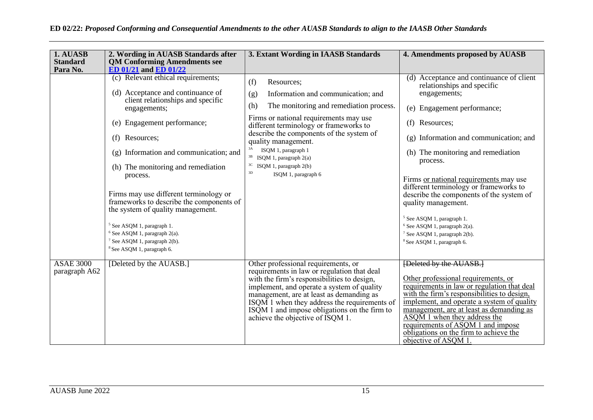| 1. AUASB                          | 2. Wording in AUASB Standards after                                                                                                                                                                                                                                                                                                                                                                                                                                                                                                                                                                  | 3. Extant Wording in IAASB Standards                                                                                                                                                                                                                                                                                                                                                                                        | 4. Amendments proposed by AUASB                                                                                                                                                                                                                                                                                                                                                                                                                                                                                                                                |
|-----------------------------------|------------------------------------------------------------------------------------------------------------------------------------------------------------------------------------------------------------------------------------------------------------------------------------------------------------------------------------------------------------------------------------------------------------------------------------------------------------------------------------------------------------------------------------------------------------------------------------------------------|-----------------------------------------------------------------------------------------------------------------------------------------------------------------------------------------------------------------------------------------------------------------------------------------------------------------------------------------------------------------------------------------------------------------------------|----------------------------------------------------------------------------------------------------------------------------------------------------------------------------------------------------------------------------------------------------------------------------------------------------------------------------------------------------------------------------------------------------------------------------------------------------------------------------------------------------------------------------------------------------------------|
| <b>Standard</b>                   | <b>QM Conforming Amendments see</b>                                                                                                                                                                                                                                                                                                                                                                                                                                                                                                                                                                  |                                                                                                                                                                                                                                                                                                                                                                                                                             |                                                                                                                                                                                                                                                                                                                                                                                                                                                                                                                                                                |
| Para No.                          | ED 01/21 and ED 01/22<br>(c) Relevant ethical requirements;<br>(d) Acceptance and continuance of<br>client relationships and specific<br>engagements;<br>(e) Engagement performance;<br>Resources;<br>(f)<br>Information and communication; and<br>(g)<br>(h) The monitoring and remediation<br>process.<br>Firms may use different terminology or<br>frameworks to describe the components of<br>the system of quality management.<br><sup>5</sup> See ASQM 1, paragraph 1.<br>$6$ See ASQM 1, paragraph 2(a).<br><sup>7</sup> See ASQM 1, paragraph 2(b).<br><sup>8</sup> See ASQM 1, paragraph 6. | (f)<br>Resources;<br>Information and communication; and<br>(g)<br>(h)<br>The monitoring and remediation process.<br>Firms or national requirements may use<br>different terminology or frameworks to<br>describe the components of the system of<br>quality management.<br>3A<br>ISQM 1, paragraph 1<br>$3\,\mathrm{B}$<br>ISQM 1, paragraph 2(a)<br>$3\mathrm{C}$<br>ISQM 1, paragraph 2(b)<br>$3D$<br>ISQM 1, paragraph 6 | (d) Acceptance and continuance of client<br>relationships and specific<br>engagements;<br>(e) Engagement performance;<br>Resources;<br>(f)<br>(g) Information and communication; and<br>(h) The monitoring and remediation<br>process.<br>Firms or national requirements may use<br>different terminology or frameworks to<br>describe the components of the system of<br>quality management.<br><sup>5</sup> See ASQM 1, paragraph 1.<br>$6$ See ASQM 1, paragraph 2(a).<br><sup>7</sup> See ASQM 1, paragraph 2(b).<br><sup>8</sup> See ASQM 1, paragraph 6. |
| <b>ASAE 3000</b><br>paragraph A62 | [Deleted by the AUASB.]                                                                                                                                                                                                                                                                                                                                                                                                                                                                                                                                                                              | Other professional requirements, or<br>requirements in law or regulation that deal<br>with the firm's responsibilities to design,<br>implement, and operate a system of quality<br>management, are at least as demanding as<br>ISQM 1 when they address the requirements of<br>ISQM 1 and impose obligations on the firm to<br>achieve the objective of ISQM 1.                                                             | [Deleted by the AUASB.]<br>Other professional requirements, or<br>requirements in law or regulation that deal<br>with the firm's responsibilities to design,<br>implement, and operate a system of quality<br>management, are at least as demanding as<br><b>ASQM</b> 1 when they address the<br>requirements of ASQM 1 and impose<br>obligations on the firm to achieve the<br>objective of ASQM 1.                                                                                                                                                           |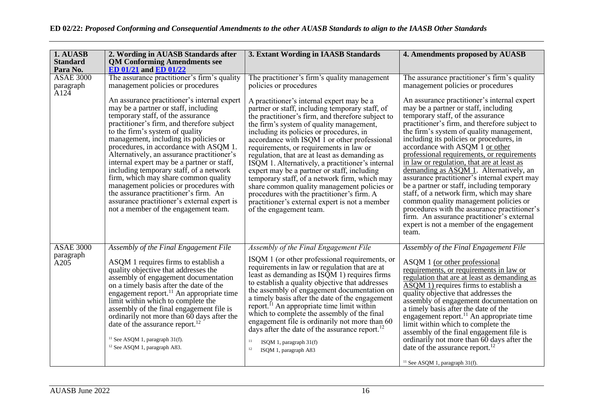| 1. AUASB                                                    | 2. Wording in AUASB Standards after                                                                                                                                                                                                                                                                                                                                                                                                                                                                                                       | 3. Extant Wording in IAASB Standards                                                                                                                                                                                                                                                                                                                                                                                                                                                                                                                                                                                               | 4. Amendments proposed by AUASB                                                                                                                                                                                                                                                                                                                                                                                                                                                                                                                                                           |
|-------------------------------------------------------------|-------------------------------------------------------------------------------------------------------------------------------------------------------------------------------------------------------------------------------------------------------------------------------------------------------------------------------------------------------------------------------------------------------------------------------------------------------------------------------------------------------------------------------------------|------------------------------------------------------------------------------------------------------------------------------------------------------------------------------------------------------------------------------------------------------------------------------------------------------------------------------------------------------------------------------------------------------------------------------------------------------------------------------------------------------------------------------------------------------------------------------------------------------------------------------------|-------------------------------------------------------------------------------------------------------------------------------------------------------------------------------------------------------------------------------------------------------------------------------------------------------------------------------------------------------------------------------------------------------------------------------------------------------------------------------------------------------------------------------------------------------------------------------------------|
| <b>Standard</b><br>Para No.                                 | <b>QM Conforming Amendments see</b><br>ED 01/21 and ED 01/22                                                                                                                                                                                                                                                                                                                                                                                                                                                                              |                                                                                                                                                                                                                                                                                                                                                                                                                                                                                                                                                                                                                                    |                                                                                                                                                                                                                                                                                                                                                                                                                                                                                                                                                                                           |
| <b>ASAE 3000</b><br>paragraph<br>A124                       | The assurance practitioner's firm's quality<br>management policies or procedures<br>An assurance practitioner's internal expert<br>may be a partner or staff, including<br>temporary staff, of the assurance<br>practitioner's firm, and therefore subject<br>to the firm's system of quality<br>management, including its policies or<br>procedures, in accordance with ASQM 1.<br>Alternatively, an assurance practitioner's<br>internal expert may be a partner or staff,<br>including temporary staff, of a network                   | The practitioner's firm's quality management<br>policies or procedures<br>A practitioner's internal expert may be a<br>partner or staff, including temporary staff, of<br>the practitioner's firm, and therefore subject to<br>the firm's system of quality management,<br>including its policies or procedures, in<br>accordance with ISQM 1 or other professional<br>requirements, or requirements in law or<br>regulation, that are at least as demanding as<br>ISQM 1. Alternatively, a practitioner's internal<br>expert may be a partner or staff, including                                                                 | The assurance practitioner's firm's quality<br>management policies or procedures<br>An assurance practitioner's internal expert<br>may be a partner or staff, including<br>temporary staff, of the assurance<br>practitioner's firm, and therefore subject to<br>the firm's system of quality management,<br>including its policies or procedures, in<br>accordance with ASQM 1 or other<br>professional requirements, or requirements<br>in law or regulation, that are at least as<br>demanding as ASQM 1. Alternatively, an                                                            |
|                                                             | firm, which may share common quality<br>management policies or procedures with<br>the assurance practitioner's firm. An<br>assurance practitioner's external expert is<br>not a member of the engagement team.                                                                                                                                                                                                                                                                                                                            | temporary staff, of a network firm, which may<br>share common quality management policies or<br>procedures with the practitioner's firm. A<br>practitioner's external expert is not a member<br>of the engagement team.                                                                                                                                                                                                                                                                                                                                                                                                            | assurance practitioner's internal expert may<br>be a partner or staff, including temporary<br>staff, of a network firm, which may share<br>common quality management policies or<br>procedures with the assurance practitioner's<br>firm. An assurance practitioner's external<br>expert is not a member of the engagement<br>team.                                                                                                                                                                                                                                                       |
| <b>ASAE 3000</b><br>paragraph<br>$\rm \tilde{A}20\tilde{5}$ | Assembly of the Final Engagement File<br>ASQM 1 requires firms to establish a<br>quality objective that addresses the<br>assembly of engagement documentation<br>on a timely basis after the date of the<br>engagement report. <sup>11</sup> An appropriate time<br>limit within which to complete the<br>assembly of the final engagement file is<br>ordinarily not more than 60 days after the<br>date of the assurance report. <sup>12</sup><br><sup>11</sup> See ASQM 1, paragraph 31(f).<br><sup>12</sup> See ASQM 1, paragraph A83. | Assembly of the Final Engagement File<br>ISQM 1 (or other professional requirements, or<br>requirements in law or regulation that are at<br>least as demanding as ISQM 1) requires firms<br>to establish a quality objective that addresses<br>the assembly of engagement documentation on<br>a timely basis after the date of the engagement<br>report. <sup>[1</sup> An appropriate time limit within<br>which to complete the assembly of the final<br>engagement file is ordinarily not more than 60<br>days after the date of the assurance report. $^{12}$<br>11<br>ISOM 1, paragraph $31(f)$<br>12<br>ISQM 1, paragraph A83 | Assembly of the Final Engagement File<br>ASQM 1 (or other professional<br>requirements, or requirements in law or<br>regulation that are at least as demanding as<br>$\overline{ASQM}$ 1) requires firms to establish a<br>quality objective that addresses the<br>assembly of engagement documentation on<br>a timely basis after the date of the<br>engagement report. <sup>11</sup> An appropriate time<br>limit within which to complete the<br>assembly of the final engagement file is<br>ordinarily not more than 60 days after the<br>date of the assurance report. <sup>12</sup> |
|                                                             |                                                                                                                                                                                                                                                                                                                                                                                                                                                                                                                                           |                                                                                                                                                                                                                                                                                                                                                                                                                                                                                                                                                                                                                                    | $11$ See ASQM 1, paragraph 31(f).                                                                                                                                                                                                                                                                                                                                                                                                                                                                                                                                                         |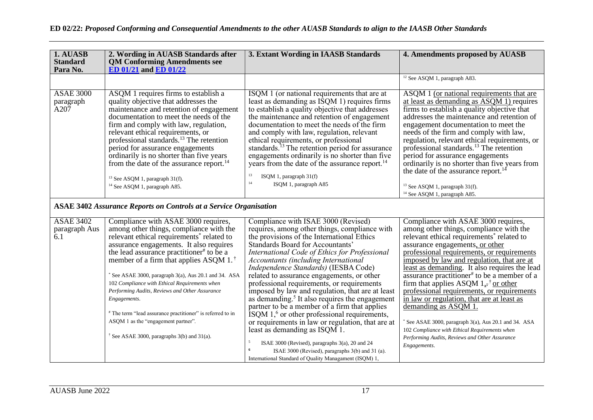| 1. AUASB                                                    | 2. Wording in AUASB Standards after                                                                                                                                                                                                                                                                                                                                                                                                                                                                                                                                                                                                       | 3. Extant Wording in IAASB Standards                                                                                                                                                                                                                                                                                                                                                                                                                                                                                                                                                                                                                                                                                                                                                                                                                                                                                   | 4. Amendments proposed by AUASB                                                                                                                                                                                                                                                                                                                                                                                                                                                                                                                                                                                                                                                                                                      |
|-------------------------------------------------------------|-------------------------------------------------------------------------------------------------------------------------------------------------------------------------------------------------------------------------------------------------------------------------------------------------------------------------------------------------------------------------------------------------------------------------------------------------------------------------------------------------------------------------------------------------------------------------------------------------------------------------------------------|------------------------------------------------------------------------------------------------------------------------------------------------------------------------------------------------------------------------------------------------------------------------------------------------------------------------------------------------------------------------------------------------------------------------------------------------------------------------------------------------------------------------------------------------------------------------------------------------------------------------------------------------------------------------------------------------------------------------------------------------------------------------------------------------------------------------------------------------------------------------------------------------------------------------|--------------------------------------------------------------------------------------------------------------------------------------------------------------------------------------------------------------------------------------------------------------------------------------------------------------------------------------------------------------------------------------------------------------------------------------------------------------------------------------------------------------------------------------------------------------------------------------------------------------------------------------------------------------------------------------------------------------------------------------|
| <b>Standard</b>                                             | <b>QM Conforming Amendments see</b>                                                                                                                                                                                                                                                                                                                                                                                                                                                                                                                                                                                                       |                                                                                                                                                                                                                                                                                                                                                                                                                                                                                                                                                                                                                                                                                                                                                                                                                                                                                                                        |                                                                                                                                                                                                                                                                                                                                                                                                                                                                                                                                                                                                                                                                                                                                      |
| Para No.                                                    | <b>ED 01/21 and ED 01/22</b>                                                                                                                                                                                                                                                                                                                                                                                                                                                                                                                                                                                                              |                                                                                                                                                                                                                                                                                                                                                                                                                                                                                                                                                                                                                                                                                                                                                                                                                                                                                                                        |                                                                                                                                                                                                                                                                                                                                                                                                                                                                                                                                                                                                                                                                                                                                      |
|                                                             |                                                                                                                                                                                                                                                                                                                                                                                                                                                                                                                                                                                                                                           |                                                                                                                                                                                                                                                                                                                                                                                                                                                                                                                                                                                                                                                                                                                                                                                                                                                                                                                        | <sup>12</sup> See ASQM 1, paragraph A83.                                                                                                                                                                                                                                                                                                                                                                                                                                                                                                                                                                                                                                                                                             |
| <b>ASAE 3000</b><br>paragraph<br>$\rm \tilde{A}20\tilde{7}$ | ASQM 1 requires firms to establish a<br>quality objective that addresses the<br>maintenance and retention of engagement<br>documentation to meet the needs of the<br>firm and comply with law, regulation,<br>relevant ethical requirements, or<br>professional standards. <sup>13</sup> The retention<br>period for assurance engagements<br>ordinarily is no shorter than five years<br>from the date of the assurance report. <sup>14</sup><br><sup>13</sup> See ASQM 1, paragraph 31(f).<br><sup>14</sup> See ASQM 1, paragraph A85.                                                                                                  | ISQM 1 (or national requirements that are at<br>least as demanding as ISQM 1) requires firms<br>to establish a quality objective that addresses<br>the maintenance and retention of engagement<br>documentation to meet the needs of the firm<br>and comply with law, regulation, relevant<br>ethical requirements, or professional<br>standards. <sup>13</sup> The retention period for assurance<br>engagements ordinarily is no shorter than five<br>years from the date of the assurance report. <sup>14</sup><br>13<br>ISQM 1, paragraph 31(f)<br>14<br>ISQM 1, paragraph A85                                                                                                                                                                                                                                                                                                                                     | ASQM 1 (or national requirements that are<br>at least as demanding as ASQM 1) requires<br>firms to establish a quality objective that<br>addresses the maintenance and retention of<br>engagement documentation to meet the<br>needs of the firm and comply with law,<br>regulation, relevant ethical requirements, or<br>professional standards. <sup>13</sup> The retention<br>period for assurance engagements<br>ordinarily is no shorter than five years from<br>the date of the assurance report. <sup>14</sup><br><sup>13</sup> See ASQM 1, paragraph 31(f).<br><sup>14</sup> See ASQM 1, paragraph A85.                                                                                                                      |
|                                                             | <b>ASAE 3402 Assurance Reports on Controls at a Service Organisation</b>                                                                                                                                                                                                                                                                                                                                                                                                                                                                                                                                                                  |                                                                                                                                                                                                                                                                                                                                                                                                                                                                                                                                                                                                                                                                                                                                                                                                                                                                                                                        |                                                                                                                                                                                                                                                                                                                                                                                                                                                                                                                                                                                                                                                                                                                                      |
| <b>ASAE 3402</b><br>paragraph Aus<br>6.1                    | Compliance with ASAE 3000 requires,<br>among other things, compliance with the<br>relevant ethical requirements <sup>*</sup> related to<br>assurance engagements. It also requires<br>the lead assurance practitioner <sup>#</sup> to be a<br>member of a firm that applies ASQM 1. <sup>†</sup><br>See ASAE 3000, paragraph 3(a), Aus 20.1 and 34. ASA<br>102 Compliance with Ethical Requirements when<br>Performing Audits, Reviews and Other Assurance<br>Engagements.<br># The term "lead assurance practitioner" is referred to in<br>ASQM 1 as the "engagement partner".<br><sup>†</sup> See ASAE 3000, paragraphs 3(b) and 31(a). | Compliance with ISAE 3000 (Revised)<br>requires, among other things, compliance with<br>the provisions of the International Ethics<br><b>Standards Board for Accountants'</b><br>International Code of Ethics for Professional<br><b>Accountants (including International</b><br>Independence Standards) (IESBA Code)<br>related to assurance engagements, or other<br>professional requirements, or requirements<br>imposed by law and regulation, that are at least<br>as demanding. <sup>5</sup> It also requires the engagement<br>partner to be a member of a firm that applies<br>$\text{ISQM } 1,$ <sup>6</sup> or other professional requirements,<br>or requirements in law or regulation, that are at<br>least as demanding as ISQM 1.<br>5<br>ISAE 3000 (Revised), paragraphs 3(a), 20 and 24<br>ISAE 3000 (Revised), paragraphs 3(b) and 31 (a).<br>International Standard of Quality Managament (ISQM) 1, | Compliance with ASAE 3000 requires,<br>among other things, compliance with the<br>relevant ethical requirements <sup>*</sup> related to<br>assurance engagements, or other<br>professional requirements, or requirements<br>imposed by law and regulation, that are at<br>least as demanding. It also requires the lead<br>assurance practitioner <sup>#</sup> to be a member of a<br>firm that applies ASQM $1, \frac{1}{2}$ or other<br>professional requirements, or requirements<br>in law or regulation, that are at least as<br>demanding as ASQM 1.<br>See ASAE 3000, paragraph 3(a), Aus 20.1 and 34. ASA<br>102 Compliance with Ethical Requirements when<br>Performing Audits, Reviews and Other Assurance<br>Engagements. |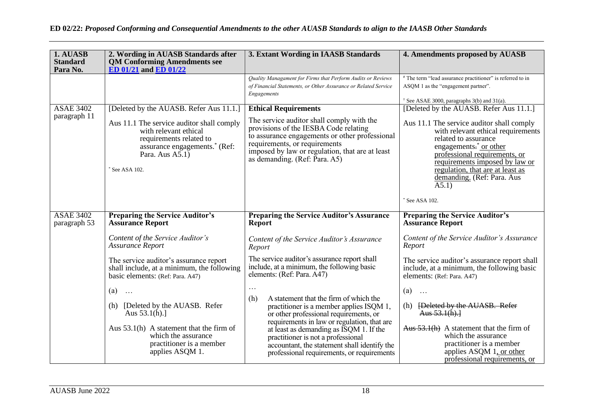| 1. AUASB<br><b>Standard</b><br>Para No. | 2. Wording in AUASB Standards after<br><b>QM Conforming Amendments see</b><br>ED 01/21 and ED 01/22                                                                                                            | 3. Extant Wording in IAASB Standards                                                                                                                                                                                                                                                                                                                                         | 4. Amendments proposed by AUASB                                                                                                                                                                                                                                                                                                        |
|-----------------------------------------|----------------------------------------------------------------------------------------------------------------------------------------------------------------------------------------------------------------|------------------------------------------------------------------------------------------------------------------------------------------------------------------------------------------------------------------------------------------------------------------------------------------------------------------------------------------------------------------------------|----------------------------------------------------------------------------------------------------------------------------------------------------------------------------------------------------------------------------------------------------------------------------------------------------------------------------------------|
|                                         |                                                                                                                                                                                                                | Quality Managament for Firms that Perform Audits or Reviews<br>of Financial Statements, or Other Assurance or Related Service<br>Engagements                                                                                                                                                                                                                                 | # The term "lead assurance practitioner" is referred to in<br>ASQM 1 as the "engagement partner".<br><sup>†</sup> See ASAE 3000, paragraphs 3(b) and 31(a).                                                                                                                                                                            |
| <b>ASAE 3402</b><br>paragraph 11        | [Deleted by the AUASB. Refer Aus 11.1.]<br>Aus 11.1 The service auditor shall comply<br>with relevant ethical<br>requirements related to<br>assurance engagements.* (Ref:<br>Para. Aus A5.1)<br>* See ASA 102. | <b>Ethical Requirements</b><br>The service auditor shall comply with the<br>provisions of the IESBA Code relating<br>to assurance engagements or other professional<br>requirements, or requirements<br>imposed by law or regulation, that are at least<br>as demanding. (Ref: Para. A5)                                                                                     | [Deleted by the AUASB. Refer Aus 11.1.]<br>Aus 11.1 The service auditor shall comply<br>with relevant ethical requirements<br>related to assurance<br>engagements. <sup>*</sup> or other<br>professional requirements, or<br>requirements imposed by law or<br>regulation, that are at least as<br>demanding. (Ref: Para. Aus<br>A5.1) |
|                                         |                                                                                                                                                                                                                |                                                                                                                                                                                                                                                                                                                                                                              | See ASA 102.                                                                                                                                                                                                                                                                                                                           |
| <b>ASAE 3402</b><br>paragraph 53        | <b>Preparing the Service Auditor's</b><br><b>Assurance Report</b>                                                                                                                                              | <b>Preparing the Service Auditor's Assurance</b><br><b>Report</b>                                                                                                                                                                                                                                                                                                            | <b>Preparing the Service Auditor's</b><br><b>Assurance Report</b>                                                                                                                                                                                                                                                                      |
|                                         | Content of the Service Auditor's<br><b>Assurance Report</b>                                                                                                                                                    | Content of the Service Auditor's Assurance<br>Report                                                                                                                                                                                                                                                                                                                         | Content of the Service Auditor's Assurance<br>Report                                                                                                                                                                                                                                                                                   |
|                                         | The service auditor's assurance report<br>shall include, at a minimum, the following<br>basic elements: (Ref: Para. A47)                                                                                       | The service auditor's assurance report shall<br>include, at a minimum, the following basic<br>elements: (Ref: Para. A47)                                                                                                                                                                                                                                                     | The service auditor's assurance report shall<br>include, at a minimum, the following basic<br>elements: (Ref: Para. A47)                                                                                                                                                                                                               |
|                                         | (a)<br>$\ldots$<br>[Deleted by the AUASB. Refer]<br>(h)<br>Aus $53.1(h).$ ]<br>Aus $53.1(h)$ A statement that the firm of<br>which the assurance<br>practitioner is a member<br>applies ASQM 1.                | $\cdot$<br>A statement that the firm of which the<br>(h)<br>practitioner is a member applies ISQM 1,<br>or other professional requirements, or<br>requirements in law or regulation, that are<br>at least as demanding as ISQM 1. If the<br>practitioner is not a professional<br>accountant, the statement shall identify the<br>professional requirements, or requirements | (a)<br>$\ldots$<br>[Deleted by the AUASB. Refer<br>(h)<br>Aus $53.1(h)$ .<br>Aus $53.1(h)$ A statement that the firm of<br>which the assurance<br>practitioner is a member<br>applies ASQM 1, or other<br>professional requirements, or                                                                                                |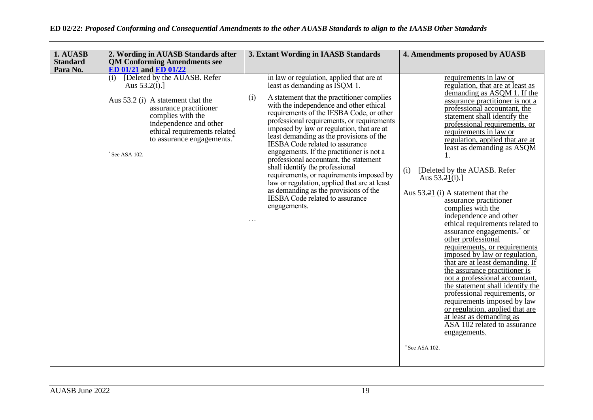| 1. AUASB                    | 2. Wording in AUASB Standards after                                                                                                                                                                                                              | 3. Extant Wording in IAASB Standards                                                                                                                                                                                                                                                                                                                                                                                                                                                                                                                                                                                                                                                                                                  | 4. Amendments proposed by AUASB                                                                                                                                                                                                                                                                                                                                                                                                                                                                                                                                                                                                                                                                                                                                                                                                                                                                                                                                                                                    |
|-----------------------------|--------------------------------------------------------------------------------------------------------------------------------------------------------------------------------------------------------------------------------------------------|---------------------------------------------------------------------------------------------------------------------------------------------------------------------------------------------------------------------------------------------------------------------------------------------------------------------------------------------------------------------------------------------------------------------------------------------------------------------------------------------------------------------------------------------------------------------------------------------------------------------------------------------------------------------------------------------------------------------------------------|--------------------------------------------------------------------------------------------------------------------------------------------------------------------------------------------------------------------------------------------------------------------------------------------------------------------------------------------------------------------------------------------------------------------------------------------------------------------------------------------------------------------------------------------------------------------------------------------------------------------------------------------------------------------------------------------------------------------------------------------------------------------------------------------------------------------------------------------------------------------------------------------------------------------------------------------------------------------------------------------------------------------|
| <b>Standard</b><br>Para No. | <b>QM Conforming Amendments see</b><br><b>ED 01/21 and ED 01/22</b>                                                                                                                                                                              |                                                                                                                                                                                                                                                                                                                                                                                                                                                                                                                                                                                                                                                                                                                                       |                                                                                                                                                                                                                                                                                                                                                                                                                                                                                                                                                                                                                                                                                                                                                                                                                                                                                                                                                                                                                    |
|                             | [Deleted by the AUASB. Refer<br>(i)<br>Aus $53.2(i).$<br>Aus 53.2 (i) A statement that the<br>assurance practitioner<br>complies with the<br>independence and other<br>ethical requirements related<br>to assurance engagements.<br>See ASA 102. | in law or regulation, applied that are at<br>least as demanding as ISQM 1.<br>(i)<br>A statement that the practitioner complies<br>with the independence and other ethical<br>requirements of the IESBA Code, or other<br>professional requirements, or requirements<br>imposed by law or regulation, that are at<br>least demanding as the provisions of the<br><b>IESBA</b> Code related to assurance<br>engagements. If the practitioner is not a<br>professional accountant, the statement<br>shall identify the professional<br>requirements, or requirements imposed by<br>law or regulation, applied that are at least<br>as demanding as the provisions of the<br><b>IESBA Code related to assurance</b><br>engagements.<br>. | requirements in law or<br>regulation, that are at least as<br>demanding as ASQM 1. If the<br>assurance practitioner is not a<br>professional accountant, the<br>statement shall identify the<br>professional requirements, or<br>requirements in law or<br>regulation, applied that are at<br>least as demanding as ASQM<br>[Deleted by the AUASB. Refer]<br>(i)<br>Aus $53.21(i).$<br>Aus $53.21$ (i) A statement that the<br>assurance practitioner<br>complies with the<br>independence and other<br>ethical requirements related to<br>assurance engagements. <sup>*</sup> or<br>other professional<br>requirements, or requirements<br>imposed by law or regulation,<br>that are at least demanding. If<br>the assurance practitioner is<br>not a professional accountant,<br>the statement shall identify the<br>professional requirements, or<br>requirements imposed by law<br>or regulation, applied that are<br>at least as demanding as<br>ASA 102 related to assurance<br>engagements.<br>See ASA 102. |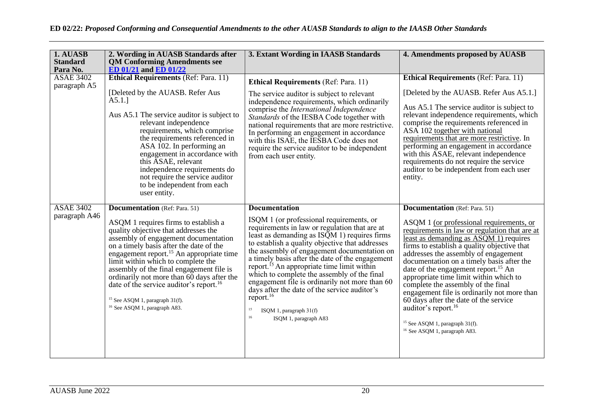| 1. AUASB                          | 2. Wording in AUASB Standards after                                                                                                                                                                                                                                                                                                                                                                                                                                                                                                              | 3. Extant Wording in IAASB Standards                                                                                                                                                                                                                                                                                                                                                                                                                                                                                                                                                                                       | 4. Amendments proposed by AUASB                                                                                                                                                                                                                                                                                                                                                                                                                                                                                                                                                                                                                                         |
|-----------------------------------|--------------------------------------------------------------------------------------------------------------------------------------------------------------------------------------------------------------------------------------------------------------------------------------------------------------------------------------------------------------------------------------------------------------------------------------------------------------------------------------------------------------------------------------------------|----------------------------------------------------------------------------------------------------------------------------------------------------------------------------------------------------------------------------------------------------------------------------------------------------------------------------------------------------------------------------------------------------------------------------------------------------------------------------------------------------------------------------------------------------------------------------------------------------------------------------|-------------------------------------------------------------------------------------------------------------------------------------------------------------------------------------------------------------------------------------------------------------------------------------------------------------------------------------------------------------------------------------------------------------------------------------------------------------------------------------------------------------------------------------------------------------------------------------------------------------------------------------------------------------------------|
| <b>Standard</b><br>Para No.       | <b>QM Conforming Amendments see</b><br><b>ED 01/21 and ED 01/22</b>                                                                                                                                                                                                                                                                                                                                                                                                                                                                              |                                                                                                                                                                                                                                                                                                                                                                                                                                                                                                                                                                                                                            |                                                                                                                                                                                                                                                                                                                                                                                                                                                                                                                                                                                                                                                                         |
| <b>ASAE 3402</b><br>paragraph A5  | <b>Ethical Requirements (Ref: Para. 11)</b><br>[Deleted by the AUASB. Refer Aus<br>$A5.1.$ ]<br>Aus A5.1 The service auditor is subject to<br>relevant independence<br>requirements, which comprise<br>the requirements referenced in                                                                                                                                                                                                                                                                                                            | <b>Ethical Requirements (Ref: Para. 11)</b><br>The service auditor is subject to relevant<br>independence requirements, which ordinarily<br>comprise the International Independence<br>Standards of the IESBA Code together with<br>national requirements that are more restrictive.<br>In performing an engagement in accordance<br>with this ISAE, the IESBA Code does not                                                                                                                                                                                                                                               | <b>Ethical Requirements (Ref: Para. 11)</b><br>[Deleted by the AUASB. Refer Aus A5.1.]<br>Aus A5.1 The service auditor is subject to<br>relevant independence requirements, which<br>comprise the requirements referenced in<br>ASA 102 together with national<br>requirements that are more restrictive. In                                                                                                                                                                                                                                                                                                                                                            |
|                                   | ASA 102. In performing an<br>engagement in accordance with<br>this ASAE, relevant<br>independence requirements do<br>not require the service auditor<br>to be independent from each<br>user entity.                                                                                                                                                                                                                                                                                                                                              | require the service auditor to be independent<br>from each user entity.                                                                                                                                                                                                                                                                                                                                                                                                                                                                                                                                                    | performing an engagement in accordance<br>with this ASAE, relevant independence<br>requirements do not require the service<br>auditor to be independent from each user<br>entity.                                                                                                                                                                                                                                                                                                                                                                                                                                                                                       |
| <b>ASAE 3402</b><br>paragraph A46 | <b>Documentation</b> (Ref: Para. 51)<br>ASQM 1 requires firms to establish a<br>quality objective that addresses the<br>assembly of engagement documentation<br>on a timely basis after the date of the<br>engagement report. <sup>15</sup> An appropriate time<br>limit within which to complete the<br>assembly of the final engagement file is<br>ordinarily not more than 60 days after the<br>date of the service auditor's report. <sup>16</sup><br><sup>15</sup> See ASQM 1, paragraph 31(f).<br><sup>16</sup> See ASQM 1, paragraph A83. | <b>Documentation</b><br>ISQM 1 (or professional requirements, or<br>requirements in law or regulation that are at<br>least as demanding as ISQM 1) requires firms<br>to establish a quality objective that addresses<br>the assembly of engagement documentation on<br>a timely basis after the date of the engagement<br>report. <sup>15</sup> An appropriate time limit within<br>which to complete the assembly of the final<br>engagement file is ordinarily not more than 60<br>days after the date of the service auditor's<br>report. <sup>16</sup><br>15<br>ISQM 1, paragraph 31(f)<br>16<br>ISQM 1, paragraph A83 | <b>Documentation</b> (Ref: Para. 51)<br>ASQM 1 (or professional requirements, or<br>requirements in law or regulation that are at<br>least as demanding as ASOM 1) requires<br>firms to establish a quality objective that<br>addresses the assembly of engagement<br>documentation on a timely basis after the<br>date of the engagement report. <sup>15</sup> An<br>appropriate time limit within which to<br>complete the assembly of the final<br>engagement file is ordinarily not more than<br>60 days after the date of the service<br>auditor's report. <sup>16</sup><br><sup>15</sup> See ASQM 1, paragraph 31(f).<br><sup>16</sup> See ASQM 1, paragraph A83. |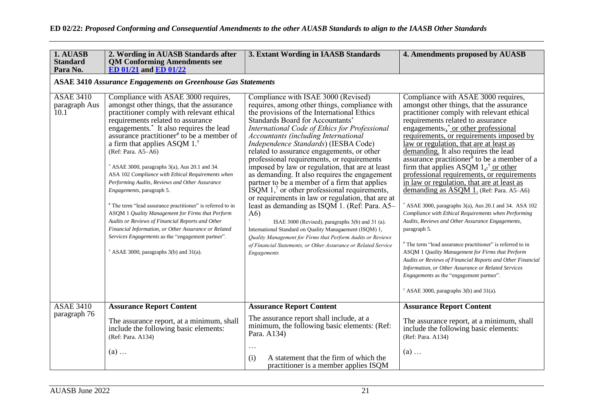| 1. AUASB<br><b>Standard</b><br>Para No.   | 2. Wording in AUASB Standards after<br><b>QM Conforming Amendments see</b><br>ED 01/21 and ED 01/22                                                                                                                                                                                                                                                                                                                                                                                                                                                                                                                                                                                                                                                                                                                                                                                             | 3. Extant Wording in IAASB Standards                                                                                                                                                                                                                                                                                                                                                                                                                                                                                                                                                                                                                                                                                                                                                                                                                                                                                                                                                                                        | 4. Amendments proposed by AUASB                                                                                                                                                                                                                                                                                                                                                                                                                                                                                                                                                                                                                                                                                                                                                                                                                                                                                                                                                                                                                                                                                                      |
|-------------------------------------------|-------------------------------------------------------------------------------------------------------------------------------------------------------------------------------------------------------------------------------------------------------------------------------------------------------------------------------------------------------------------------------------------------------------------------------------------------------------------------------------------------------------------------------------------------------------------------------------------------------------------------------------------------------------------------------------------------------------------------------------------------------------------------------------------------------------------------------------------------------------------------------------------------|-----------------------------------------------------------------------------------------------------------------------------------------------------------------------------------------------------------------------------------------------------------------------------------------------------------------------------------------------------------------------------------------------------------------------------------------------------------------------------------------------------------------------------------------------------------------------------------------------------------------------------------------------------------------------------------------------------------------------------------------------------------------------------------------------------------------------------------------------------------------------------------------------------------------------------------------------------------------------------------------------------------------------------|--------------------------------------------------------------------------------------------------------------------------------------------------------------------------------------------------------------------------------------------------------------------------------------------------------------------------------------------------------------------------------------------------------------------------------------------------------------------------------------------------------------------------------------------------------------------------------------------------------------------------------------------------------------------------------------------------------------------------------------------------------------------------------------------------------------------------------------------------------------------------------------------------------------------------------------------------------------------------------------------------------------------------------------------------------------------------------------------------------------------------------------|
|                                           | <b>ASAE 3410 Assurance Engagements on Greenhouse Gas Statements</b>                                                                                                                                                                                                                                                                                                                                                                                                                                                                                                                                                                                                                                                                                                                                                                                                                             |                                                                                                                                                                                                                                                                                                                                                                                                                                                                                                                                                                                                                                                                                                                                                                                                                                                                                                                                                                                                                             |                                                                                                                                                                                                                                                                                                                                                                                                                                                                                                                                                                                                                                                                                                                                                                                                                                                                                                                                                                                                                                                                                                                                      |
| <b>ASAE 3410</b><br>paragraph Aus<br>10.1 | Compliance with ASAE 3000 requires,<br>amongst other things, that the assurance<br>practitioner comply with relevant ethical<br>requirements related to assurance<br>engagements. <sup>*</sup> It also requires the lead<br>assurance practitioner <sup>#</sup> to be a member of<br>a firm that applies ASQM 1. <sup>†</sup><br>(Ref: Para. $A5-\overline{A6}$ )<br>$*$ ASAE 3000, paragraphs 3(a), Aus 20.1 and 34.<br>ASA 102 Compliance with Ethical Requirements when<br>Performing Audits, Reviews and Other Assurance<br>Engagements, paragraph 5.<br># The term "lead assurance practitioner" is referred to in<br>ASQM 1 Quality Management for Firms that Perform<br>Audits or Reviews of Financial Reports and Other<br>Financial Information, or Other Assurance or Related<br>Services Engagements as the "engagement partner".<br>$\dagger$ ASAE 3000, paragraphs 3(b) and 31(a). | Compliance with ISAE 3000 (Revised)<br>requires, among other things, compliance with<br>the provisions of the International Ethics<br><b>Standards Board for Accountants'</b><br>International Code of Ethics for Professional<br><b>Accountants (including International</b><br>Independence Standards) (IESBA Code)<br>related to assurance engagements, or other<br>professional requirements, or requirements<br>imposed by law or regulation, that are at least<br>as demanding. It also requires the engagement<br>partner to be a member of a firm that applies<br>$\overline{ISQM}$ 1, <sup>7</sup> or other professional requirements,<br>or requirements in law or regulation, that are at<br>least as demanding as ISQM 1. (Ref: Para. A5-<br>A6)<br>ISAE 3000 (Revised), paragraphs 3(b) and 31 (a).<br>International Standard on Quality Managaement (ISQM) 1,<br>Quality Management for Firms that Perform Audits or Reviews<br>of Financial Statements, or Other Assurance or Related Service<br>Engagements | Compliance with ASAE 3000 requires,<br>amongst other things, that the assurance<br>practitioner comply with relevant ethical<br>requirements related to assurance<br>engagements., <sup>*</sup> or other professional<br>requirements, or requirements imposed by<br>law or regulation, that are at least as<br>demanding. It also requires the lead<br>assurance practitioner <sup>#</sup> to be a member of a<br>firm that applies ASQM $1, \frac{1}{2}$ or other<br>professional requirements, or requirements<br>in law or regulation, that are at least as<br>demanding as ASQM 1. (Ref: Para. A5–A6)<br>ASAE 3000, paragraphs 3(a), Aus 20.1 and 34. ASA 102<br>Compliance with Ethical Requirements when Performing<br>Audits, Reviews and Other Assurance Engagements,<br>paragraph 5.<br># The term "lead assurance practitioner" is referred to in<br>ASQM 1 Quality Management for Firms that Perform<br>Audits or Reviews of Financial Reports and Other Financial<br>Information, or Other Assurance or Related Services<br>Engagements as the "engagement partner".<br>$\dagger$ ASAE 3000, paragraphs 3(b) and 31(a). |
| <b>ASAE 3410</b>                          | <b>Assurance Report Content</b>                                                                                                                                                                                                                                                                                                                                                                                                                                                                                                                                                                                                                                                                                                                                                                                                                                                                 | <b>Assurance Report Content</b>                                                                                                                                                                                                                                                                                                                                                                                                                                                                                                                                                                                                                                                                                                                                                                                                                                                                                                                                                                                             | <b>Assurance Report Content</b>                                                                                                                                                                                                                                                                                                                                                                                                                                                                                                                                                                                                                                                                                                                                                                                                                                                                                                                                                                                                                                                                                                      |
| paragraph 76                              | The assurance report, at a minimum, shall<br>include the following basic elements:<br>(Ref: Para. A134)                                                                                                                                                                                                                                                                                                                                                                                                                                                                                                                                                                                                                                                                                                                                                                                         | The assurance report shall include, at a<br>minimum, the following basic elements: (Ref:<br>Para. A134)<br>$\ddots$                                                                                                                                                                                                                                                                                                                                                                                                                                                                                                                                                                                                                                                                                                                                                                                                                                                                                                         | The assurance report, at a minimum, shall<br>include the following basic elements:<br>(Ref: Para. A134)                                                                                                                                                                                                                                                                                                                                                                                                                                                                                                                                                                                                                                                                                                                                                                                                                                                                                                                                                                                                                              |
|                                           | $(a) \ldots$                                                                                                                                                                                                                                                                                                                                                                                                                                                                                                                                                                                                                                                                                                                                                                                                                                                                                    | A statement that the firm of which the<br>(i)<br>practitioner is a member applies ISQM                                                                                                                                                                                                                                                                                                                                                                                                                                                                                                                                                                                                                                                                                                                                                                                                                                                                                                                                      | $(a) \ldots$                                                                                                                                                                                                                                                                                                                                                                                                                                                                                                                                                                                                                                                                                                                                                                                                                                                                                                                                                                                                                                                                                                                         |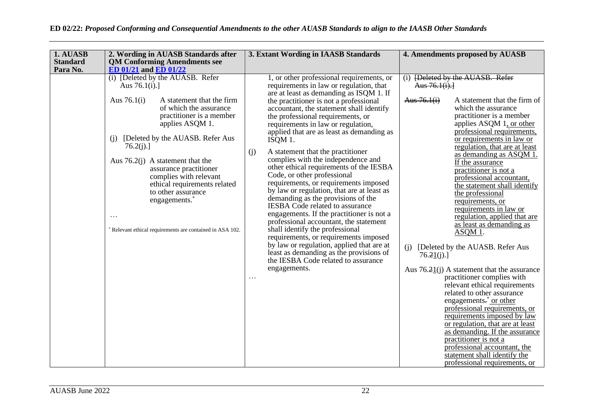| <b>Standard</b> | <b>QM Conforming Amendments see</b>                                                                                                                                                                                                                                                                                                                                                                                                                                                                                                                  |                                                                                                                                                                                                                                                                                                                                                                                                                                                                                                                                                                                                                                                                                                                                                                                                                                                                                                                                                             |                                                                                                                                                                                                                                                                                                                                                                                                                                                                                                                                                                                                                                                       |
|-----------------|------------------------------------------------------------------------------------------------------------------------------------------------------------------------------------------------------------------------------------------------------------------------------------------------------------------------------------------------------------------------------------------------------------------------------------------------------------------------------------------------------------------------------------------------------|-------------------------------------------------------------------------------------------------------------------------------------------------------------------------------------------------------------------------------------------------------------------------------------------------------------------------------------------------------------------------------------------------------------------------------------------------------------------------------------------------------------------------------------------------------------------------------------------------------------------------------------------------------------------------------------------------------------------------------------------------------------------------------------------------------------------------------------------------------------------------------------------------------------------------------------------------------------|-------------------------------------------------------------------------------------------------------------------------------------------------------------------------------------------------------------------------------------------------------------------------------------------------------------------------------------------------------------------------------------------------------------------------------------------------------------------------------------------------------------------------------------------------------------------------------------------------------------------------------------------------------|
| Para No.        |                                                                                                                                                                                                                                                                                                                                                                                                                                                                                                                                                      |                                                                                                                                                                                                                                                                                                                                                                                                                                                                                                                                                                                                                                                                                                                                                                                                                                                                                                                                                             |                                                                                                                                                                                                                                                                                                                                                                                                                                                                                                                                                                                                                                                       |
| 1. AUASB        | 2. Wording in AUASB Standards after<br>ED 01/21 and ED 01/22<br>(i) [Deleted by the AUASB. Refer<br>Aus $76.1(i).$<br>Aus $76.1(i)$<br>A statement that the firm<br>of which the assurance<br>practitioner is a member<br>applies ASQM 1.<br>[Deleted by the AUASB. Refer Aus<br>(i)<br>76.2(j).<br>Aus $76.2(j)$ A statement that the<br>assurance practitioner<br>complies with relevant<br>ethical requirements related<br>to other assurance<br>engagements. <sup>*</sup><br>$\cdots$<br>Relevant ethical requirements are contained in ASA 102. | 3. Extant Wording in IAASB Standards<br>1, or other professional requirements, or<br>requirements in law or regulation, that<br>are at least as demanding as ISQM 1. If<br>the practitioner is not a professional<br>accountant, the statement shall identify<br>the professional requirements, or<br>requirements in law or regulation,<br>applied that are as least as demanding as<br>$I\bar{S}QM$ 1.<br>(i)<br>A statement that the practitioner<br>complies with the independence and<br>other ethical requirements of the IESBA<br>Code, or other professional<br>requirements, or requirements imposed<br>by law or regulation, that are at least as<br>demanding as the provisions of the<br><b>IESBA</b> Code related to assurance<br>engagements. If the practitioner is not a<br>professional accountant, the statement<br>shall identify the professional<br>requirements, or requirements imposed<br>by law or regulation, applied that are at | 4. Amendments proposed by AUASB<br>(i) <del>[Deleted by the AUASB. Refer</del><br>Aus $76.1(i)$ .<br>Aus $76.1(i)$<br>A statement that the firm of<br>which the assurance<br>practitioner is a member<br>applies ASQM 1, or other<br>professional requirements,<br>or requirements in law or<br>regulation, that are at least<br>as demanding as ASQM 1.<br>If the assurance<br>practitioner is not a<br>professional accountant,<br>the statement shall identify<br>the professional<br>requirements, or<br>requirements in law or<br>regulation, applied that are<br>as least as demanding as<br>ASQM 1.<br>[Deleted by the AUASB. Refer Aus<br>(i) |
|                 |                                                                                                                                                                                                                                                                                                                                                                                                                                                                                                                                                      | least as demanding as the provisions of<br>the IESBA Code related to assurance<br>engagements.<br>$\cdots$                                                                                                                                                                                                                                                                                                                                                                                                                                                                                                                                                                                                                                                                                                                                                                                                                                                  | 76.21(j).<br>Aus $76.21(j)$ A statement that the assurance<br>practitioner complies with<br>relevant ethical requirements<br>related to other assurance<br>engagements. <sup>*</sup> or other<br>professional requirements, or<br>requirements imposed by law<br>or regulation, that are at least<br>as demanding. If the assurance<br>practitioner is not a<br>professional accountant, the<br>statement shall identify the<br>professional requirements, or                                                                                                                                                                                         |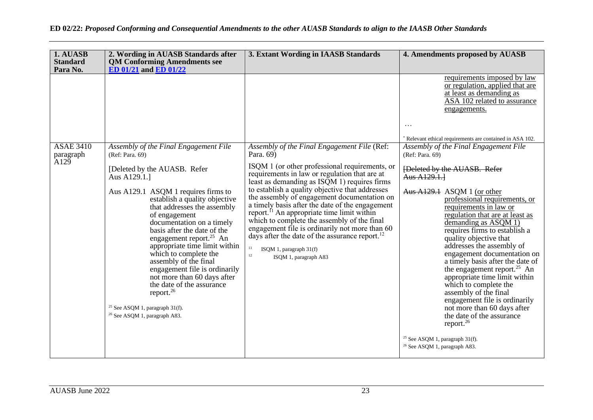| 1. AUASB<br><b>Standard</b><br>Para No.                     | 2. Wording in AUASB Standards after<br><b>QM Conforming Amendments see</b><br><b>ED 01/21 and ED 01/22</b>                                                                                                                                                                                                                                                                                                                                                                                                                                                                                                                        | 3. Extant Wording in IAASB Standards                                                                                                                                                                                                                                                                                                                                                                                                                                                                                                                                                                                                                          | 4. Amendments proposed by AUASB                                                                                                                                                                                                                                                                                                                                                                                                                                                                                                                                                                                                                                                                                                                                  |
|-------------------------------------------------------------|-----------------------------------------------------------------------------------------------------------------------------------------------------------------------------------------------------------------------------------------------------------------------------------------------------------------------------------------------------------------------------------------------------------------------------------------------------------------------------------------------------------------------------------------------------------------------------------------------------------------------------------|---------------------------------------------------------------------------------------------------------------------------------------------------------------------------------------------------------------------------------------------------------------------------------------------------------------------------------------------------------------------------------------------------------------------------------------------------------------------------------------------------------------------------------------------------------------------------------------------------------------------------------------------------------------|------------------------------------------------------------------------------------------------------------------------------------------------------------------------------------------------------------------------------------------------------------------------------------------------------------------------------------------------------------------------------------------------------------------------------------------------------------------------------------------------------------------------------------------------------------------------------------------------------------------------------------------------------------------------------------------------------------------------------------------------------------------|
|                                                             |                                                                                                                                                                                                                                                                                                                                                                                                                                                                                                                                                                                                                                   |                                                                                                                                                                                                                                                                                                                                                                                                                                                                                                                                                                                                                                                               | requirements imposed by law<br>or regulation, applied that are<br>at least as demanding as<br>ASA 102 related to assurance<br>engagements.<br>.<br>Relevant ethical requirements are contained in ASA 102.                                                                                                                                                                                                                                                                                                                                                                                                                                                                                                                                                       |
| <b>ASAE 3410</b><br>paragraph<br>$\rm \tilde{A}12\tilde{9}$ | Assembly of the Final Engagement File<br>(Ref: Para. 69)<br>[Deleted by the AUASB. Refer]<br>Aus A129.1.]<br>Aus A129.1 ASQM 1 requires firms to<br>establish a quality objective<br>that addresses the assembly<br>of engagement<br>documentation on a timely<br>basis after the date of the<br>engagement report. $^{25}$ An<br>appropriate time limit within<br>which to complete the<br>assembly of the final<br>engagement file is ordinarily<br>not more than 60 days after<br>the date of the assurance<br>report. <sup>26</sup><br><sup>25</sup> See ASQM 1, paragraph 31(f).<br><sup>26</sup> See ASQM 1, paragraph A83. | Assembly of the Final Engagement File (Ref:<br>Para. 69)<br>ISQM 1 (or other professional requirements, or<br>requirements in law or regulation that are at<br>least as demanding as ISQM 1) requires firms<br>to establish a quality objective that addresses<br>the assembly of engagement documentation on<br>a timely basis after the date of the engagement<br>report. <sup>I1</sup> An appropriate time limit within<br>which to complete the assembly of the final<br>engagement file is ordinarily not more than 60<br>days after the date of the assurance report. <sup>12</sup><br>$1\,1$<br>ISQM 1, paragraph 31(f)<br>12<br>ISQM 1, paragraph A83 | Assembly of the Final Engagement File<br>(Ref: Para. 69)<br>[Deleted by the AUASB. Refer<br>Aus $A129.1.$<br>Aus A129.1 ASQM 1 (or other<br>professional requirements, or<br>requirements in law or<br>regulation that are at least as<br>demanding as $ASOM$ 1)<br>requires firms to establish a<br>quality objective that<br>addresses the assembly of<br>engagement documentation on<br>a timely basis after the date of<br>the engagement report. $25$ An<br>appropriate time limit within<br>which to complete the<br>assembly of the final<br>engagement file is ordinarily<br>not more than 60 days after<br>the date of the assurance<br>report. <sup>26</sup><br><sup>25</sup> See ASQM 1, paragraph 31(f).<br><sup>26</sup> See ASQM 1, paragraph A83. |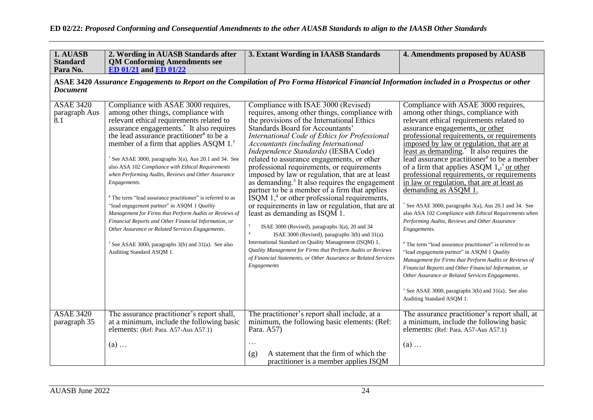| 1. AUASB<br><b>Standard</b><br>Para No.               | 2. Wording in AUASB Standards after<br><b>QM Conforming Amendments see</b><br><b>ED 01/21 and ED 01/22</b>                                                                                                                                                                                                                                                                                                                                                                                                                                                                                                                                                                                                                                                                                                                                                           | 3. Extant Wording in IAASB Standards                                                                                                                                                                                                                                                                                                                                                                                                                                                                                                                                                                                                                                                                                                                                                                                                                                                                                                                                                                                                                                                               | 4. Amendments proposed by AUASB                                                                                                                                                                                                                                                                                                                                                                                                                                                                                                                                                                                                                                                                                                                                                                                                                                                                                                                                                                                                                                                                                               |
|-------------------------------------------------------|----------------------------------------------------------------------------------------------------------------------------------------------------------------------------------------------------------------------------------------------------------------------------------------------------------------------------------------------------------------------------------------------------------------------------------------------------------------------------------------------------------------------------------------------------------------------------------------------------------------------------------------------------------------------------------------------------------------------------------------------------------------------------------------------------------------------------------------------------------------------|----------------------------------------------------------------------------------------------------------------------------------------------------------------------------------------------------------------------------------------------------------------------------------------------------------------------------------------------------------------------------------------------------------------------------------------------------------------------------------------------------------------------------------------------------------------------------------------------------------------------------------------------------------------------------------------------------------------------------------------------------------------------------------------------------------------------------------------------------------------------------------------------------------------------------------------------------------------------------------------------------------------------------------------------------------------------------------------------------|-------------------------------------------------------------------------------------------------------------------------------------------------------------------------------------------------------------------------------------------------------------------------------------------------------------------------------------------------------------------------------------------------------------------------------------------------------------------------------------------------------------------------------------------------------------------------------------------------------------------------------------------------------------------------------------------------------------------------------------------------------------------------------------------------------------------------------------------------------------------------------------------------------------------------------------------------------------------------------------------------------------------------------------------------------------------------------------------------------------------------------|
| <b>Document</b>                                       |                                                                                                                                                                                                                                                                                                                                                                                                                                                                                                                                                                                                                                                                                                                                                                                                                                                                      | ASAE 3420 Assurance Engagements to Report on the Compilation of Pro Forma Historical Financial Information included in a Prospectus or other                                                                                                                                                                                                                                                                                                                                                                                                                                                                                                                                                                                                                                                                                                                                                                                                                                                                                                                                                       |                                                                                                                                                                                                                                                                                                                                                                                                                                                                                                                                                                                                                                                                                                                                                                                                                                                                                                                                                                                                                                                                                                                               |
| <b>ASAE 3420</b><br>paragraph Aus<br>$\overline{8.1}$ | Compliance with ASAE 3000 requires,<br>among other things, compliance with<br>relevant ethical requirements related to<br>assurance engagements. <sup>*</sup> It also requires<br>the lead assurance practitioner <sup>#</sup> to be a<br>member of a firm that applies ASQM 1. <sup>†</sup><br>See ASAE 3000, paragraphs 3(a), Aus 20.1 and 34. See<br>also ASA 102 Compliance with Ethical Requirements<br>when Performing Audits, Reviews and Other Assurance<br>Engagements.<br># The term "lead assurance practitioner" is referred to as<br>"lead engagement partner" in ASQM 1 Quality<br>Management for Firms that Perform Audits or Reviews of<br>Financial Reports and Other Financial Information, or<br>Other Assurance or Related Services Engagements.<br><sup>†</sup> See ASAE 3000, paragraphs 3(b) and 31(a). See also<br>Auditing Standard ASQM 1. | Compliance with ISAE 3000 (Revised)<br>requires, among other things, compliance with<br>the provisions of the International Ethics<br><b>Standards Board for Accountants'</b><br>International Code of Ethics for Professional<br><b>Accountants (including International</b><br>Independence Standards) (IESBA Code)<br>related to assurance engagements, or other<br>professional requirements, or requirements<br>imposed by law or regulation, that are at least<br>as demanding. <sup>3</sup> It also requires the engagement<br>partner to be a member of a firm that applies<br>$\text{ISQM}$ 1, <sup>4</sup> or other professional requirements,<br>or requirements in law or regulation, that are at<br>least as demanding as ISQM 1.<br>$\mathfrak z$<br>ISAE 3000 (Revised), paragraphs 3(a), 20 and 34<br>$\overline{4}$<br>ISAE 3000 (Revised), paragraphs 3(b) and 31(a).<br>International Standard on Quality Management (ISQM) 1,<br>Quality Management for Firms that Perform Audits or Reviews<br>of Financial Statements, or Other Assurance or Related Services<br>Engagements | Compliance with ASAE 3000 requires,<br>among other things, compliance with<br>relevant ethical requirements related to<br>assurance engagements, or other<br>professional requirements, or requirements<br>imposed by law or regulation, that are at<br>least as demanding. <sup>*</sup> It also requires the<br>lead assurance practitioner <sup>#</sup> to be a member<br>of a firm that applies ASQM $1, \frac{1}{2}$ or other<br>professional requirements, or requirements<br>in law or regulation, that are at least as<br>demanding as ASQM 1.<br>See ASAE 3000, paragraphs 3(a), Aus 20.1 and 34. See<br>also ASA 102 Compliance with Ethical Requirements when<br>Performing Audits, Reviews and Other Assurance<br>Engagements.<br># The term "lead assurance practitioner" is referred to as<br>"lead engagement partner" in ASQM 1 Quality<br>Management for Firms that Perform Audits or Reviews of<br>Financial Reports and Other Financial Information, or<br>Other Assurance or Related Services Engagements.<br><sup>†</sup> See ASAE 3000, paragraphs 3(b) and 31(a). See also<br>Auditing Standard ASQM 1. |
| <b>ASAE 3420</b><br>paragraph 35                      | The assurance practitioner's report shall,<br>at a minimum, include the following basic<br>elements: (Ref: Para. A57-Aus A57.1)                                                                                                                                                                                                                                                                                                                                                                                                                                                                                                                                                                                                                                                                                                                                      | The practitioner's report shall include, at a<br>minimum, the following basic elements: (Ref:<br>Para. A57)                                                                                                                                                                                                                                                                                                                                                                                                                                                                                                                                                                                                                                                                                                                                                                                                                                                                                                                                                                                        | The assurance practitioner's report shall, at<br>a minimum, include the following basic<br>elements: (Ref: Para. A57-Aus A57.1)                                                                                                                                                                                                                                                                                                                                                                                                                                                                                                                                                                                                                                                                                                                                                                                                                                                                                                                                                                                               |
|                                                       | $(a)$                                                                                                                                                                                                                                                                                                                                                                                                                                                                                                                                                                                                                                                                                                                                                                                                                                                                | $\cdots$<br>A statement that the firm of which the<br>(g)<br>practitioner is a member applies ISQM                                                                                                                                                                                                                                                                                                                                                                                                                                                                                                                                                                                                                                                                                                                                                                                                                                                                                                                                                                                                 | $(a) \ldots$                                                                                                                                                                                                                                                                                                                                                                                                                                                                                                                                                                                                                                                                                                                                                                                                                                                                                                                                                                                                                                                                                                                  |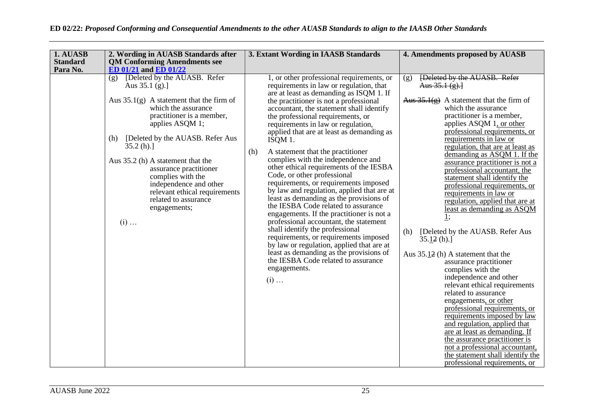| 1. AUASB        | 2. Wording in AUASB Standards after                                                                                                                                                                                                                                                                                                                                                                                                  | 3. Extant Wording in IAASB Standards                                                                                                                                                                                                                                                                                                                                                                                                                                                                                                                                                                                                                                                                                                                                                                                                                                                                                                                                                                                                  | 4. Amendments proposed by AUASB                                                                                                                                                                                                                                                                                                                                                                                                                                                                                                                                                                                                                                                                                                                                                                                                                                                                                                                                                                                                                                                                    |
|-----------------|--------------------------------------------------------------------------------------------------------------------------------------------------------------------------------------------------------------------------------------------------------------------------------------------------------------------------------------------------------------------------------------------------------------------------------------|---------------------------------------------------------------------------------------------------------------------------------------------------------------------------------------------------------------------------------------------------------------------------------------------------------------------------------------------------------------------------------------------------------------------------------------------------------------------------------------------------------------------------------------------------------------------------------------------------------------------------------------------------------------------------------------------------------------------------------------------------------------------------------------------------------------------------------------------------------------------------------------------------------------------------------------------------------------------------------------------------------------------------------------|----------------------------------------------------------------------------------------------------------------------------------------------------------------------------------------------------------------------------------------------------------------------------------------------------------------------------------------------------------------------------------------------------------------------------------------------------------------------------------------------------------------------------------------------------------------------------------------------------------------------------------------------------------------------------------------------------------------------------------------------------------------------------------------------------------------------------------------------------------------------------------------------------------------------------------------------------------------------------------------------------------------------------------------------------------------------------------------------------|
| <b>Standard</b> | <b>QM Conforming Amendments see</b>                                                                                                                                                                                                                                                                                                                                                                                                  |                                                                                                                                                                                                                                                                                                                                                                                                                                                                                                                                                                                                                                                                                                                                                                                                                                                                                                                                                                                                                                       |                                                                                                                                                                                                                                                                                                                                                                                                                                                                                                                                                                                                                                                                                                                                                                                                                                                                                                                                                                                                                                                                                                    |
| Para No.        | <b>ED 01/21 and ED 01/22</b>                                                                                                                                                                                                                                                                                                                                                                                                         |                                                                                                                                                                                                                                                                                                                                                                                                                                                                                                                                                                                                                                                                                                                                                                                                                                                                                                                                                                                                                                       |                                                                                                                                                                                                                                                                                                                                                                                                                                                                                                                                                                                                                                                                                                                                                                                                                                                                                                                                                                                                                                                                                                    |
|                 | [Deleted by the AUASB. Refer]<br>(g)<br>Aus $35.1$ (g).]<br>Aus $35.1(g)$ A statement that the firm of<br>which the assurance<br>practitioner is a member,<br>applies ASQM 1;<br>[Deleted by the AUASB. Refer Aus<br>(h)<br>35.2(h).<br>Aus 35.2 (h) A statement that the<br>assurance practitioner<br>complies with the<br>independence and other<br>relevant ethical requirements<br>related to assurance<br>engagements;<br>$(i)$ | 1, or other professional requirements, or<br>requirements in law or regulation, that<br>are at least as demanding as ISQM 1. If<br>the practitioner is not a professional<br>accountant, the statement shall identify<br>the professional requirements, or<br>requirements in law or regulation,<br>applied that are at least as demanding as<br>$\overline{ISQM}$ 1.<br>(h)<br>A statement that the practitioner<br>complies with the independence and<br>other ethical requirements of the IESBA<br>Code, or other professional<br>requirements, or requirements imposed<br>by law and regulation, applied that are at<br>least as demanding as the provisions of<br>the IESBA Code related to assurance<br>engagements. If the practitioner is not a<br>professional accountant, the statement<br>shall identify the professional<br>requirements, or requirements imposed<br>by law or regulation, applied that are at<br>least as demanding as the provisions of<br>the IESBA Code related to assurance<br>engagements.<br>$(i)$ | [Deleted by the AUASB. Refer<br>(g)<br>Aus $35.1(g)$ .<br>Aus $35.1(g)$ A statement that the firm of<br>which the assurance<br>practitioner is a member,<br>applies ASQM 1, or other<br>professional requirements, or<br>requirements in law or<br>regulation, that are at least as<br>demanding as ASQM 1. If the<br>assurance practitioner is not a<br>professional accountant, the<br>statement shall identify the<br>professional requirements, or<br>requirements in law or<br>regulation, applied that are at<br>least as demanding as ASQM<br><u>1;</u><br>(h)<br>[Deleted by the AUASB. Refer Aus<br>35.12(h).<br>Aus $35.12$ (h) A statement that the<br>assurance practitioner<br>complies with the<br>independence and other<br>relevant ethical requirements<br>related to assurance<br>engagements, or other<br>professional requirements, or<br>requirements imposed by law<br>and regulation, applied that<br>are at least as demanding. If<br>the assurance practitioner is<br>not a professional accountant,<br>the statement shall identify the<br>professional requirements, or |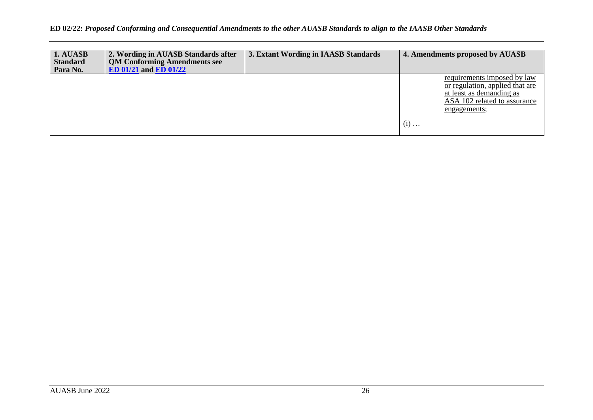| 1. AUASB<br><b>Standard</b><br>Para No. | 2. Wording in AUASB Standards after<br><b>QM Conforming Amendments see</b><br>ED $01/21$ and ED $01/22$ | 3. Extant Wording in IAASB Standards | 4. Amendments proposed by AUASB                                                                                                            |
|-----------------------------------------|---------------------------------------------------------------------------------------------------------|--------------------------------------|--------------------------------------------------------------------------------------------------------------------------------------------|
|                                         |                                                                                                         |                                      | requirements imposed by law<br>or regulation, applied that are<br>at least as demanding as<br>ASA 102 related to assurance<br>engagements; |
|                                         |                                                                                                         |                                      | $(i)$                                                                                                                                      |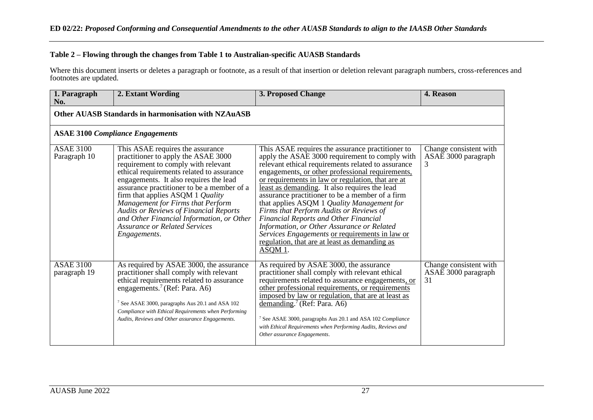#### **Table 2 – Flowing through the changes from Table 1 to Australian-specific AUASB Standards**

Where this document inserts or deletes a paragraph or footnote, as a result of that insertion or deletion relevant paragraph numbers, cross-references and footnotes are updated.

| 1. Paragraph<br>No.              | 2. Extant Wording                                                                                                                                                                                                                                                                                                                                                                                                                                                                         | 3. Proposed Change                                                                                                                                                                                                                                                                                                                                                                                                                                                                                                                                                                                                                                                         | 4. Reason                                           |
|----------------------------------|-------------------------------------------------------------------------------------------------------------------------------------------------------------------------------------------------------------------------------------------------------------------------------------------------------------------------------------------------------------------------------------------------------------------------------------------------------------------------------------------|----------------------------------------------------------------------------------------------------------------------------------------------------------------------------------------------------------------------------------------------------------------------------------------------------------------------------------------------------------------------------------------------------------------------------------------------------------------------------------------------------------------------------------------------------------------------------------------------------------------------------------------------------------------------------|-----------------------------------------------------|
|                                  | <b>Other AUASB Standards in harmonisation with NZAuASB</b>                                                                                                                                                                                                                                                                                                                                                                                                                                |                                                                                                                                                                                                                                                                                                                                                                                                                                                                                                                                                                                                                                                                            |                                                     |
|                                  | <b>ASAE 3100 Compliance Engagements</b>                                                                                                                                                                                                                                                                                                                                                                                                                                                   |                                                                                                                                                                                                                                                                                                                                                                                                                                                                                                                                                                                                                                                                            |                                                     |
| <b>ASAE 3100</b><br>Paragraph 10 | This ASAE requires the assurance<br>practitioner to apply the ASAE 3000<br>requirement to comply with relevant<br>ethical requirements related to assurance<br>engagements. It also requires the lead<br>assurance practitioner to be a member of a<br>firm that applies ASQM 1 <i>Quality</i><br>Management for Firms that Perform<br><b>Audits or Reviews of Financial Reports</b><br>and Other Financial Information, or Other<br><b>Assurance or Related Services</b><br>Engagements. | This ASAE requires the assurance practitioner to<br>apply the ASAE 3000 requirement to comply with<br>relevant ethical requirements related to assurance<br>engagements, or other professional requirements,<br>or requirements in law or regulation, that are at<br>least as demanding. It also requires the lead<br>assurance practitioner to be a member of a firm<br>that applies ASQM 1 Quality Management for<br>Firms that Perform Audits or Reviews of<br><b>Financial Reports and Other Financial</b><br>Information, or Other Assurance or Related<br>Services Engagements or requirements in law or<br>regulation, that are at least as demanding as<br>ASQM 1. | Change consistent with<br>ASAE 3000 paragraph<br>3  |
| <b>ASAE 3100</b><br>paragraph 19 | As required by ASAE 3000, the assurance<br>practitioner shall comply with relevant<br>ethical requirements related to assurance<br>engagements. <sup>7</sup> (Ref: Para. A6)<br><sup>7</sup> See ASAE 3000, paragraphs Aus 20.1 and ASA 102<br>Compliance with Ethical Requirements when Performing<br>Audits, Reviews and Other assurance Engagements.                                                                                                                                   | As required by ASAE 3000, the assurance<br>practitioner shall comply with relevant ethical<br>requirements related to assurance engagements, or<br>other professional requirements, or requirements<br>imposed by law or regulation, that are at least as<br>demanding. <sup>7</sup> (Ref: Para. A6)<br><sup>7</sup> See ASAE 3000, paragraphs Aus 20.1 and ASA 102 Compliance<br>with Ethical Requirements when Performing Audits, Reviews and<br>Other assurance Engagements.                                                                                                                                                                                            | Change consistent with<br>ASAE 3000 paragraph<br>31 |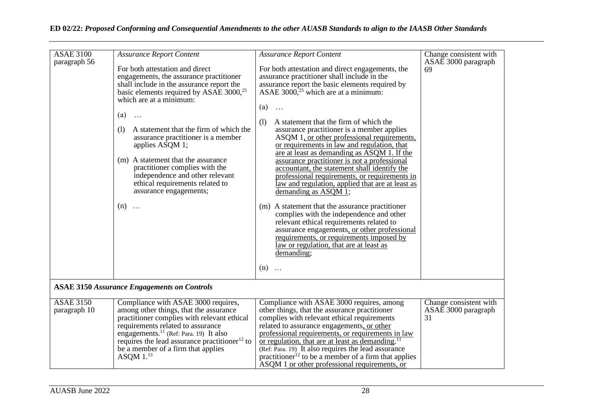| <b>ASAE 3100</b><br>paragraph 56 | <b>Assurance Report Content</b><br>For both attestation and direct<br>engagements, the assurance practitioner<br>shall include in the assurance report the<br>basic elements required by ASAE 3000, <sup>25</sup><br>which are at a minimum:<br>(a)<br>$\ldots$<br>A statement that the firm of which the<br>(1)<br>assurance practitioner is a member<br>applies ASQM 1;<br>(m) A statement that the assurance<br>practitioner complies with the<br>independence and other relevant<br>ethical requirements related to<br>assurance engagements;<br>$(n)$ | <b>Assurance Report Content</b><br>For both attestation and direct engagements, the<br>assurance practitioner shall include in the<br>assurance report the basic elements required by<br>ASAE 3000, <sup>25</sup> which are at a minimum:<br>(a)<br>$\ldots$<br>A statement that the firm of which the<br>(1)<br>assurance practitioner is a member applies<br>ASQM 1, or other professional requirements,<br>or requirements in law and regulation, that<br>are at least as demanding as ASQM 1. If the<br>assurance practitioner is not a professional<br>accountant, the statement shall identify the<br>professional requirements, or requirements in<br>law and regulation, applied that are at least as<br>demanding as ASQM 1;<br>(m) A statement that the assurance practitioner<br>complies with the independence and other<br>relevant ethical requirements related to<br>assurance engagements, or other professional<br>requirements, or requirements imposed by<br>law or regulation, that are at least as<br>demanding;<br>$(n)$ | Change consistent with<br>ASAE 3000 paragraph<br>69 |
|----------------------------------|------------------------------------------------------------------------------------------------------------------------------------------------------------------------------------------------------------------------------------------------------------------------------------------------------------------------------------------------------------------------------------------------------------------------------------------------------------------------------------------------------------------------------------------------------------|------------------------------------------------------------------------------------------------------------------------------------------------------------------------------------------------------------------------------------------------------------------------------------------------------------------------------------------------------------------------------------------------------------------------------------------------------------------------------------------------------------------------------------------------------------------------------------------------------------------------------------------------------------------------------------------------------------------------------------------------------------------------------------------------------------------------------------------------------------------------------------------------------------------------------------------------------------------------------------------------------------------------------------------------|-----------------------------------------------------|
|                                  | <b>ASAE 3150 Assurance Engagements on Controls</b>                                                                                                                                                                                                                                                                                                                                                                                                                                                                                                         |                                                                                                                                                                                                                                                                                                                                                                                                                                                                                                                                                                                                                                                                                                                                                                                                                                                                                                                                                                                                                                                |                                                     |
| <b>ASAE 3150</b><br>paragraph 10 | Compliance with ASAE 3000 requires,<br>among other things, that the assurance<br>practitioner complies with relevant ethical<br>requirements related to assurance<br>engagements. <sup>11</sup> (Ref: Para. 19) It also<br>requires the lead assurance practitioner <sup>12</sup> to<br>be a member of a firm that applies<br>ASQM $113$                                                                                                                                                                                                                   | Compliance with ASAE 3000 requires, among<br>other things, that the assurance practitioner<br>complies with relevant ethical requirements<br>related to assurance engagements, or other<br>professional requirements, or requirements in law<br>or regulation, that are at least as demanding. <sup>11</sup><br>(Ref: Para. 19) It also requires the lead assurance<br>practitioner <sup>12</sup> to be a member of a firm that applies<br>ASOM 1 or other professional requirements, or                                                                                                                                                                                                                                                                                                                                                                                                                                                                                                                                                       | Change consistent with<br>ASAE 3000 paragraph<br>31 |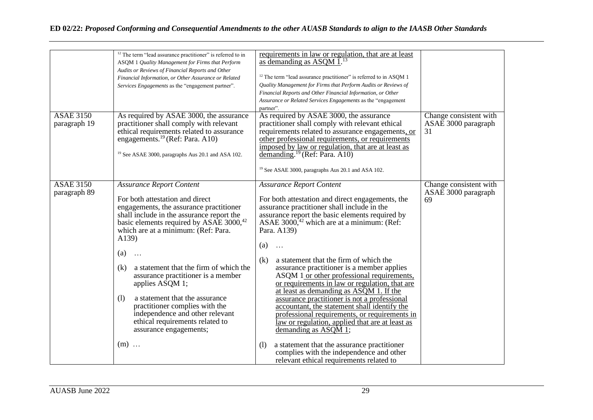|                                  | <sup>12</sup> The term "lead assurance practitioner" is referred to in<br>ASQM 1 Quality Management for Firms that Perform<br>Audits or Reviews of Financial Reports and Other<br>Financial Information, or Other Assurance or Related<br>Services Engagements as the "engagement partner".                                                                                                                                                                                                                                                                              | requirements in law or regulation, that are at least<br>as demanding as ASOM $1^{13}$<br><sup>12</sup> The term "lead assurance practitioner" is referred to in ASQM 1<br>Quality Management for Firms that Perform Audits or Reviews of<br>Financial Reports and Other Financial Information, or Other<br>Assurance or Related Services Engagements as the "engagement<br>partner".                                                                                                                                                                                                                                                                                                                                                                                                                                                                                   |                                                     |
|----------------------------------|--------------------------------------------------------------------------------------------------------------------------------------------------------------------------------------------------------------------------------------------------------------------------------------------------------------------------------------------------------------------------------------------------------------------------------------------------------------------------------------------------------------------------------------------------------------------------|------------------------------------------------------------------------------------------------------------------------------------------------------------------------------------------------------------------------------------------------------------------------------------------------------------------------------------------------------------------------------------------------------------------------------------------------------------------------------------------------------------------------------------------------------------------------------------------------------------------------------------------------------------------------------------------------------------------------------------------------------------------------------------------------------------------------------------------------------------------------|-----------------------------------------------------|
| <b>ASAE 3150</b><br>paragraph 19 | As required by ASAE 3000, the assurance<br>practitioner shall comply with relevant<br>ethical requirements related to assurance<br>engagements. <sup>19</sup> (Ref: Para. A10)<br><sup>19</sup> See ASAE 3000, paragraphs Aus 20.1 and ASA 102.                                                                                                                                                                                                                                                                                                                          | As required by ASAE 3000, the assurance<br>practitioner shall comply with relevant ethical<br>requirements related to assurance engagements, or<br>other professional requirements, or requirements<br>imposed by law or regulation, that are at least as<br>demanding. <sup>19</sup> (Ref: Para. A10)<br><sup>19</sup> See ASAE 3000, paragraphs Aus 20.1 and ASA 102.                                                                                                                                                                                                                                                                                                                                                                                                                                                                                                | Change consistent with<br>ASAE 3000 paragraph<br>31 |
| <b>ASAE 3150</b><br>paragraph 89 | <b>Assurance Report Content</b><br>For both attestation and direct<br>engagements, the assurance practitioner<br>shall include in the assurance report the<br>basic elements required by ASAE 3000,42<br>which are at a minimum: (Ref: Para.<br>A139)<br>(a)<br>$\ldots$<br>a statement that the firm of which the<br>(k)<br>assurance practitioner is a member<br>applies $ASQM$ 1;<br>(1)<br>a statement that the assurance<br>practitioner complies with the<br>independence and other relevant<br>ethical requirements related to<br>assurance engagements;<br>$(m)$ | <b>Assurance Report Content</b><br>For both attestation and direct engagements, the<br>assurance practitioner shall include in the<br>assurance report the basic elements required by<br>ASAE 3000, <sup>42</sup> which are at a minimum: (Ref:<br>Para. A139)<br>(a)<br>$\cdots$<br>a statement that the firm of which the<br>(k)<br>assurance practitioner is a member applies<br>ASQM 1 or other professional requirements,<br>or requirements in law or regulation, that are<br>at least as demanding as ASQM 1. If the<br>assurance practitioner is not a professional<br>accountant, the statement shall identify the<br>professional requirements, or requirements in<br>law or regulation, applied that are at least as<br>demanding as $ASQ\overline{M}$ 1;<br>a statement that the assurance practitioner<br>(1)<br>complies with the independence and other | Change consistent with<br>ASAE 3000 paragraph<br>69 |
|                                  |                                                                                                                                                                                                                                                                                                                                                                                                                                                                                                                                                                          | relevant ethical requirements related to                                                                                                                                                                                                                                                                                                                                                                                                                                                                                                                                                                                                                                                                                                                                                                                                                               |                                                     |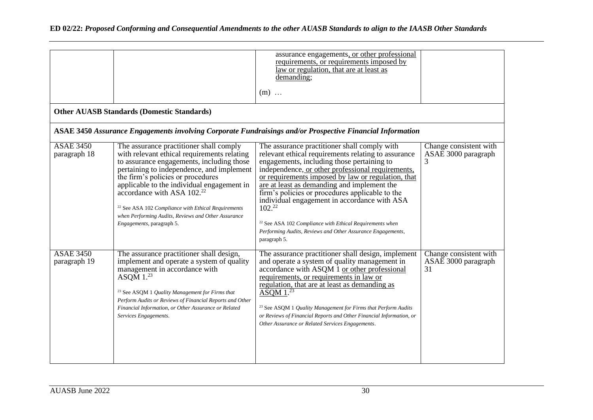|                                  |                                                                                                                                                                                                                                                                                                                                                                                                                                                                     | assurance engagements, or other professional<br>requirements, or requirements imposed by<br>law or regulation, that are at least as<br>demanding;<br>$(m)$                                                                                                                                                                                                                                                                                                                                                                                                                                 |                                                     |
|----------------------------------|---------------------------------------------------------------------------------------------------------------------------------------------------------------------------------------------------------------------------------------------------------------------------------------------------------------------------------------------------------------------------------------------------------------------------------------------------------------------|--------------------------------------------------------------------------------------------------------------------------------------------------------------------------------------------------------------------------------------------------------------------------------------------------------------------------------------------------------------------------------------------------------------------------------------------------------------------------------------------------------------------------------------------------------------------------------------------|-----------------------------------------------------|
|                                  | <b>Other AUASB Standards (Domestic Standards)</b>                                                                                                                                                                                                                                                                                                                                                                                                                   |                                                                                                                                                                                                                                                                                                                                                                                                                                                                                                                                                                                            |                                                     |
|                                  |                                                                                                                                                                                                                                                                                                                                                                                                                                                                     | ASAE 3450 Assurance Engagements involving Corporate Fundraisings and/or Prospective Financial Information                                                                                                                                                                                                                                                                                                                                                                                                                                                                                  |                                                     |
| <b>ASAE 3450</b><br>paragraph 18 | The assurance practitioner shall comply<br>with relevant ethical requirements relating<br>to assurance engagements, including those<br>pertaining to independence, and implement<br>the firm's policies or procedures<br>applicable to the individual engagement in<br>accordance with ASA 102. <sup>22</sup><br><sup>22</sup> See ASA 102 Compliance with Ethical Requirements<br>when Performing Audits, Reviews and Other Assurance<br>Engagements, paragraph 5. | The assurance practitioner shall comply with<br>relevant ethical requirements relating to assurance<br>engagements, including those pertaining to<br>independence, or other professional requirements,<br>or requirements imposed by law or regulation, that<br>are at least as demanding and implement the<br>firm's policies or procedures applicable to the<br>individual engagement in accordance with ASA<br>102. <sup>22</sup><br><sup>22</sup> See ASA 102 Compliance with Ethical Requirements when<br>Performing Audits, Reviews and Other Assurance Engagements,<br>paragraph 5. | Change consistent with<br>ASAE 3000 paragraph<br>3  |
| <b>ASAE 3450</b><br>paragraph 19 | The assurance practitioner shall design,<br>implement and operate a system of quality<br>management in accordance with<br>ASQM $1.23$<br><sup>23</sup> See ASQM 1 Quality Management for Firms that<br>Perform Audits or Reviews of Financial Reports and Other<br>Financial Information, or Other Assurance or Related<br>Services Engagements.                                                                                                                    | The assurance practitioner shall design, implement<br>and operate a system of quality management in<br>accordance with ASQM 1 or other professional<br>requirements, or requirements in law or<br>regulation, that are at least as demanding as<br>$\overline{ASQM}$ 1. <sup>23</sup><br><sup>23</sup> See ASQM 1 <i>Quality Management for Firms that Perform Audits</i><br>or Reviews of Financial Reports and Other Financial Information, or<br>Other Assurance or Related Services Engagements.                                                                                       | Change consistent with<br>ASAE 3000 paragraph<br>31 |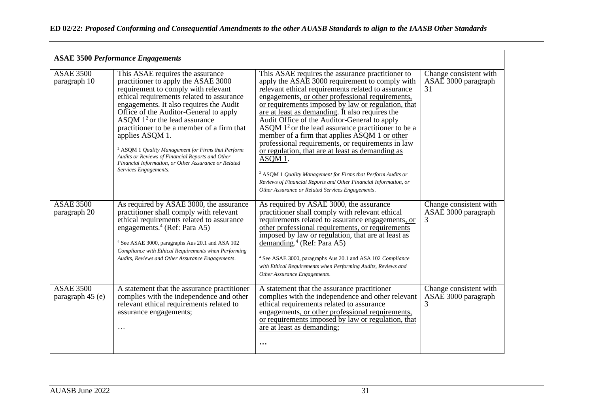| <b>ASAE 3500 Performance Engagements</b> |                                                                                                                                                                                                                                                                                                                                                                                                                                                                                                                                                                   |                                                                                                                                                                                                                                                                                                                                                                                                                                                                                                                                                                                                                                                                                                                                                                                              |                                                     |  |  |
|------------------------------------------|-------------------------------------------------------------------------------------------------------------------------------------------------------------------------------------------------------------------------------------------------------------------------------------------------------------------------------------------------------------------------------------------------------------------------------------------------------------------------------------------------------------------------------------------------------------------|----------------------------------------------------------------------------------------------------------------------------------------------------------------------------------------------------------------------------------------------------------------------------------------------------------------------------------------------------------------------------------------------------------------------------------------------------------------------------------------------------------------------------------------------------------------------------------------------------------------------------------------------------------------------------------------------------------------------------------------------------------------------------------------------|-----------------------------------------------------|--|--|
| <b>ASAE 3500</b><br>paragraph 10         | This ASAE requires the assurance<br>practitioner to apply the ASAE 3000<br>requirement to comply with relevant<br>ethical requirements related to assurance<br>engagements. It also requires the Audit<br>Office of the Auditor-General to apply<br>ASQM $12$ or the lead assurance<br>practitioner to be a member of a firm that<br>applies ASQM 1.<br><sup>2</sup> ASQM 1 <i>Quality Management for Firms that Perform</i><br>Audits or Reviews of Financial Reports and Other<br>Financial Information, or Other Assurance or Related<br>Services Engagements. | This ASAE requires the assurance practitioner to<br>apply the ASAE 3000 requirement to comply with<br>relevant ethical requirements related to assurance<br>engagements, or other professional requirements,<br>or requirements imposed by law or regulation, that<br>are at least as demanding. It also requires the<br>Audit Office of the Auditor-General to apply<br>ASQM $12$ or the lead assurance practitioner to be a<br>member of a firm that applies ASQM 1 or other<br>professional requirements, or requirements in law<br>or regulation, that are at least as demanding as<br>ASQM 1.<br>$2$ ASQM 1 Quality Management for Firms that Perform Audits or<br>Reviews of Financial Reports and Other Financial Information, or<br>Other Assurance or Related Services Engagements. | Change consistent with<br>ASAE 3000 paragraph<br>31 |  |  |
| <b>ASAE 3500</b><br>paragraph 20         | As required by ASAE 3000, the assurance<br>practitioner shall comply with relevant<br>ethical requirements related to assurance<br>engagements. <sup>4</sup> (Ref: Para A5)<br><sup>4</sup> See ASAE 3000, paragraphs Aus 20.1 and ASA 102<br>Compliance with Ethical Requirements when Performing<br>Audits, Reviews and Other Assurance Engagements.                                                                                                                                                                                                            | As required by ASAE 3000, the assurance<br>practitioner shall comply with relevant ethical<br>requirements related to assurance engagements, or<br>other professional requirements, or requirements<br>imposed by law or regulation, that are at least as<br>demanding. <sup>4</sup> (Ref: Para A5)<br><sup>4</sup> See ASAE 3000, paragraphs Aus 20.1 and ASA 102 Compliance<br>with Ethical Requirements when Performing Audits, Reviews and<br>Other Assurance Engagements.                                                                                                                                                                                                                                                                                                               | Change consistent with<br>ASAE 3000 paragraph<br>3  |  |  |
| <b>ASAE 3500</b><br>paragraph 45 (e)     | A statement that the assurance practitioner<br>complies with the independence and other<br>relevant ethical requirements related to<br>assurance engagements;<br>$\cdots$                                                                                                                                                                                                                                                                                                                                                                                         | A statement that the assurance practitioner<br>complies with the independence and other relevant<br>ethical requirements related to assurance<br>engagements, or other professional requirements,<br>or requirements imposed by law or regulation, that<br>are at least as demanding;<br>$\ddotsc$                                                                                                                                                                                                                                                                                                                                                                                                                                                                                           | Change consistent with<br>ASAE 3000 paragraph<br>3  |  |  |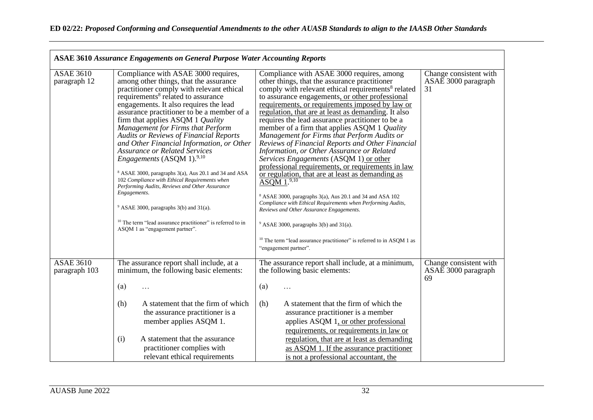| <b>ASAE 3610 Assurance Engagements on General Purpose Water Accounting Reports</b> |                                                                                                                                                                                                                                                                                                                                                                                                                                                                                                                                                                                                                                                                                                                                                                                                                                                                                      |                                                                                                                                                                                                                                                                                                                                                                                                                                                                                                                                                                                                                                                                                                                                                                                                                                                                                                                                                                                                                                                                                           |                                                             |  |  |
|------------------------------------------------------------------------------------|--------------------------------------------------------------------------------------------------------------------------------------------------------------------------------------------------------------------------------------------------------------------------------------------------------------------------------------------------------------------------------------------------------------------------------------------------------------------------------------------------------------------------------------------------------------------------------------------------------------------------------------------------------------------------------------------------------------------------------------------------------------------------------------------------------------------------------------------------------------------------------------|-------------------------------------------------------------------------------------------------------------------------------------------------------------------------------------------------------------------------------------------------------------------------------------------------------------------------------------------------------------------------------------------------------------------------------------------------------------------------------------------------------------------------------------------------------------------------------------------------------------------------------------------------------------------------------------------------------------------------------------------------------------------------------------------------------------------------------------------------------------------------------------------------------------------------------------------------------------------------------------------------------------------------------------------------------------------------------------------|-------------------------------------------------------------|--|--|
| <b>ASAE 3610</b><br>paragraph 12                                                   | Compliance with ASAE 3000 requires,<br>among other things, that the assurance<br>practitioner comply with relevant ethical<br>requirements <sup>8</sup> related to assurance<br>engagements. It also requires the lead<br>assurance practitioner to be a member of a<br>firm that applies ASQM 1 Quality<br>Management for Firms that Perform<br><b>Audits or Reviews of Financial Reports</b><br>and Other Financial Information, or Other<br><b>Assurance or Related Services</b><br><i>Engagements</i> (ASQM 1). <sup>9,10</sup><br><sup>8</sup> ASAE 3000, paragraphs 3(a), Aus 20.1 and 34 and ASA<br>102 Compliance with Ethical Requirements when<br>Performing Audits, Reviews and Other Assurance<br>Engagements.<br>$9$ ASAE 3000, paragraphs 3(b) and 31(a).<br><sup>10</sup> The term "lead assurance practitioner" is referred to in<br>ASQM 1 as "engagement partner". | Compliance with ASAE 3000 requires, among<br>other things, that the assurance practitioner<br>comply with relevant ethical requirements <sup>8</sup> related<br>to assurance engagements, or other professional<br>requirements, or requirements imposed by law or<br>regulation, that are at least as demanding. It also<br>requires the lead assurance practitioner to be a<br>member of a firm that applies ASQM 1 Quality<br>Management for Firms that Perform Audits or<br>Reviews of Financial Reports and Other Financial<br>Information, or Other Assurance or Related<br>Services Engagements (ASQM 1) or other<br>professional requirements, or requirements in law<br>or regulation, that are at least as demanding as<br>$ASQM$ $1.9,10$<br>$8$ ASAE 3000, paragraphs 3(a), Aus 20.1 and 34 and ASA 102<br>Compliance with Ethical Requirements when Performing Audits,<br>Reviews and Other Assurance Engagements.<br>$9$ ASAE 3000, paragraphs 3(b) and 31(a).<br><sup>10</sup> The term "lead assurance practitioner" is referred to in ASQM 1 as<br>"engagement partner". | Change consistent with<br>$ASA\bar{E}$ 3000 paragraph<br>31 |  |  |
| <b>ASAE 3610</b><br>paragraph 103                                                  | The assurance report shall include, at a<br>minimum, the following basic elements:<br>(a)<br>.<br>A statement that the firm of which<br>(h)<br>the assurance practitioner is a<br>member applies ASQM 1.                                                                                                                                                                                                                                                                                                                                                                                                                                                                                                                                                                                                                                                                             | The assurance report shall include, at a minimum,<br>the following basic elements:<br>(a)<br>.<br>A statement that the firm of which the<br>(h)<br>assurance practitioner is a member<br>applies ASQM 1, or other professional                                                                                                                                                                                                                                                                                                                                                                                                                                                                                                                                                                                                                                                                                                                                                                                                                                                            | Change consistent with<br>ASAE 3000 paragraph<br>69         |  |  |
|                                                                                    | A statement that the assurance<br>(i)<br>practitioner complies with<br>relevant ethical requirements                                                                                                                                                                                                                                                                                                                                                                                                                                                                                                                                                                                                                                                                                                                                                                                 | requirements, or requirements in law or<br>regulation, that are at least as demanding<br>as ASQM 1. If the assurance practitioner<br>is not a professional accountant, the                                                                                                                                                                                                                                                                                                                                                                                                                                                                                                                                                                                                                                                                                                                                                                                                                                                                                                                |                                                             |  |  |